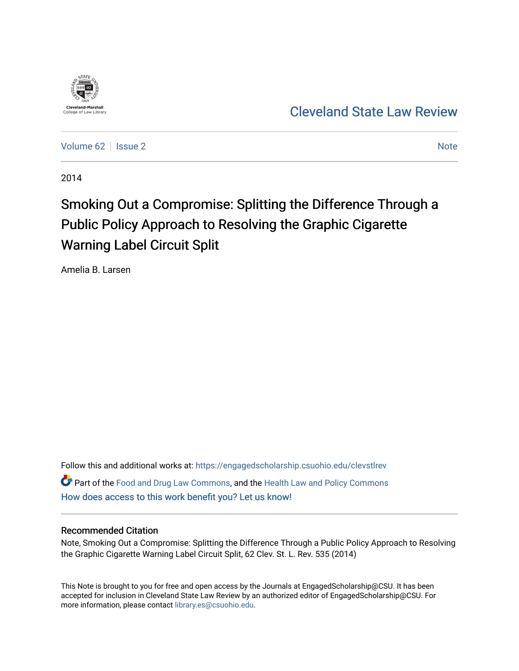

[Cleveland State Law Review](https://engagedscholarship.csuohio.edu/clevstlrev) 

[Volume 62](https://engagedscholarship.csuohio.edu/clevstlrev/vol62) | [Issue 2](https://engagedscholarship.csuohio.edu/clevstlrev/vol62/iss2) Note

2014

# Smoking Out a Compromise: Splitting the Difference Through a Public Policy Approach to Resolving the Graphic Cigarette Warning Label Circuit Split

Amelia B. Larsen

Follow this and additional works at: [https://engagedscholarship.csuohio.edu/clevstlrev](https://engagedscholarship.csuohio.edu/clevstlrev?utm_source=engagedscholarship.csuohio.edu%2Fclevstlrev%2Fvol62%2Fiss2%2F11&utm_medium=PDF&utm_campaign=PDFCoverPages) Part of the [Food and Drug Law Commons,](http://network.bepress.com/hgg/discipline/844?utm_source=engagedscholarship.csuohio.edu%2Fclevstlrev%2Fvol62%2Fiss2%2F11&utm_medium=PDF&utm_campaign=PDFCoverPages) and the [Health Law and Policy Commons](http://network.bepress.com/hgg/discipline/901?utm_source=engagedscholarship.csuohio.edu%2Fclevstlrev%2Fvol62%2Fiss2%2F11&utm_medium=PDF&utm_campaign=PDFCoverPages)  [How does access to this work benefit you? Let us know!](http://library.csuohio.edu/engaged/)

# Recommended Citation

Note, Smoking Out a Compromise: Splitting the Difference Through a Public Policy Approach to Resolving the Graphic Cigarette Warning Label Circuit Split, 62 Clev. St. L. Rev. 535 (2014)

This Note is brought to you for free and open access by the Journals at EngagedScholarship@CSU. It has been accepted for inclusion in Cleveland State Law Review by an authorized editor of EngagedScholarship@CSU. For more information, please contact [library.es@csuohio.edu](mailto:library.es@csuohio.edu).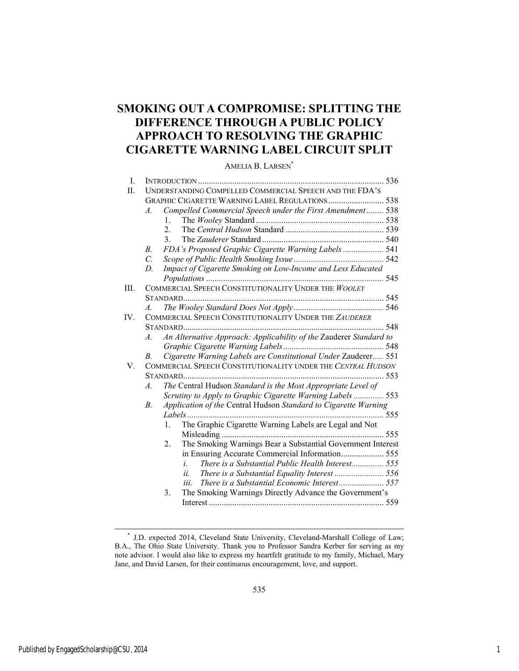# **SMOKING OUT A COMPROMISE: SPLITTING THE DIFFERENCE THROUGH A PUBLIC POLICY APPROACH TO RESOLVING THE GRAPHIC CIGARETTE WARNING LABEL CIRCUIT SPLIT**

AMELIA B. LARSEN<sup>\*</sup>

| I.       |                                                              |                  |                                                                    |  |  |
|----------|--------------------------------------------------------------|------------------|--------------------------------------------------------------------|--|--|
| П.       | UNDERSTANDING COMPELLED COMMERCIAL SPEECH AND THE FDA'S      |                  |                                                                    |  |  |
|          |                                                              |                  |                                                                    |  |  |
|          | $\overline{A}$                                               |                  | Compelled Commercial Speech under the First Amendment 538          |  |  |
|          |                                                              | $1_{-}$          |                                                                    |  |  |
|          |                                                              | $\overline{2}$ . |                                                                    |  |  |
|          |                                                              | $\mathcal{E}$    |                                                                    |  |  |
|          | $B_{\cdot}$                                                  |                  | FDA's Proposed Graphic Cigarette Warning Labels 541                |  |  |
|          | $\overline{C}$                                               |                  |                                                                    |  |  |
|          | D.                                                           |                  | Impact of Cigarette Smoking on Low-Income and Less Educated        |  |  |
|          |                                                              |                  |                                                                    |  |  |
| III.     | COMMERCIAL SPEECH CONSTITUTIONALITY UNDER THE WOOLEY         |                  |                                                                    |  |  |
|          |                                                              |                  |                                                                    |  |  |
|          | $\overline{A}$                                               |                  |                                                                    |  |  |
| $IV_{-}$ |                                                              |                  | COMMERCIAL SPEECH CONSTITUTIONALITY UNDER THE ZAUDERER             |  |  |
|          |                                                              |                  |                                                                    |  |  |
|          | $\mathcal{A}$ .                                              |                  | An Alternative Approach: Applicability of the Zauderer Standard to |  |  |
|          |                                                              |                  |                                                                    |  |  |
|          | В.                                                           |                  | Cigarette Warning Labels are Constitutional Under Zauderer 551     |  |  |
| V.       | COMMERCIAL SPEECH CONSTITUTIONALITY UNDER THE CENTRAL HUDSON |                  |                                                                    |  |  |
|          |                                                              |                  |                                                                    |  |  |
|          | $\mathcal{A}$ .                                              |                  | The Central Hudson Standard is the Most Appropriate Level of       |  |  |
|          |                                                              |                  | Scrutiny to Apply to Graphic Cigarette Warning Labels 553          |  |  |
|          | $B_{\cdot}$                                                  |                  | Application of the Central Hudson Standard to Cigarette Warning    |  |  |
|          |                                                              |                  |                                                                    |  |  |
|          |                                                              | $1_{-}$          | The Graphic Cigarette Warning Labels are Legal and Not             |  |  |
|          |                                                              |                  |                                                                    |  |  |
|          |                                                              | 2 <sup>1</sup>   | The Smoking Warnings Bear a Substantial Government Interest        |  |  |
|          |                                                              |                  |                                                                    |  |  |
|          |                                                              |                  | There is a Substantial Public Health Interest 555<br>i             |  |  |
|          |                                                              |                  | ii.                                                                |  |  |
|          |                                                              |                  | iii.                                                               |  |  |
|          |                                                              | 3.               | The Smoking Warnings Directly Advance the Government's             |  |  |
|          |                                                              |                  |                                                                    |  |  |
|          |                                                              |                  |                                                                    |  |  |

l

 <sup>\*</sup> J.D. expected 2014, Cleveland State University, Cleveland-Marshall College of Law; B.A., The Ohio State University. Thank you to Professor Sandra Kerber for serving as my note advisor. I would also like to express my heartfelt gratitude to my family, Michael, Mary Jane, and David Larsen, for their continuous encouragement, love, and support.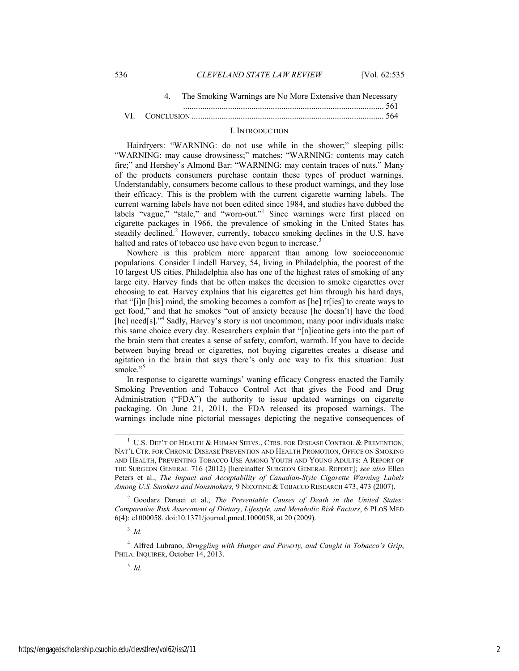| The Smoking Warnings are No More Extensive than Necessary |  |
|-----------------------------------------------------------|--|
|                                                           |  |
|                                                           |  |

#### I. INTRODUCTION

Hairdryers: "WARNING: do not use while in the shower;" sleeping pills: "WARNING: may cause drowsiness;" matches: "WARNING: contents may catch fire;" and Hershey's Almond Bar: "WARNING: may contain traces of nuts." Many of the products consumers purchase contain these types of product warnings. Understandably, consumers become callous to these product warnings, and they lose their efficacy. This is the problem with the current cigarette warning labels. The current warning labels have not been edited since 1984, and studies have dubbed the labels "vague," "stale," and "worn-out."<sup>1</sup> Since warnings were first placed on cigarette packages in 1966, the prevalence of smoking in the United States has steadily declined.<sup>2</sup> However, currently, tobacco smoking declines in the U.S. have halted and rates of tobacco use have even begun to increase.<sup>3</sup>

Nowhere is this problem more apparent than among low socioeconomic populations. Consider Lindell Harvey, 54, living in Philadelphia, the poorest of the 10 largest US cities. Philadelphia also has one of the highest rates of smoking of any large city. Harvey finds that he often makes the decision to smoke cigarettes over choosing to eat. Harvey explains that his cigarettes get him through his hard days, that "[i]n [his] mind, the smoking becomes a comfort as [he] tr[ies] to create ways to get food," and that he smokes "out of anxiety because [he doesn't] have the food [he] need[s]."<sup>4</sup> Sadly, Harvey's story is not uncommon; many poor individuals make this same choice every day. Researchers explain that "[n]icotine gets into the part of the brain stem that creates a sense of safety, comfort, warmth. If you have to decide between buying bread or cigarettes, not buying cigarettes creates a disease and agitation in the brain that says there's only one way to fix this situation: Just smoke."<sup>5</sup>

In response to cigarette warnings' waning efficacy Congress enacted the Family Smoking Prevention and Tobacco Control Act that gives the Food and Drug Administration ("FDA") the authority to issue updated warnings on cigarette packaging. On June 21, 2011, the FDA released its proposed warnings. The warnings include nine pictorial messages depicting the negative consequences of

2 Goodarz Danaei et al., *The Preventable Causes of Death in the United States: Comparative Risk Assessment of Dietary*, *Lifestyle, and Metabolic Risk Factors*, 6 PLOS MED 6(4): e1000058. doi:10.1371/journal.pmed.1000058, at 20 (2009).

<sup>3</sup> *Id.*

4 Alfred Lubrano, *Struggling with Hunger and Poverty, and Caught in Tobacco's Grip*, PHILA. INQUIRER, October 14, 2013.

<sup>5</sup> *Id.*

 <sup>1</sup>  $1$  U.S. Dep't of Health & Human Servs., Ctrs. for Disease Control & Prevention, NAT'L CTR. FOR CHRONIC DISEASE PREVENTION AND HEALTH PROMOTION, OFFICE ON SMOKING AND HEALTH, PREVENTING TOBACCO USE AMONG YOUTH AND YOUNG ADULTS: A REPORT OF THE SURGEON GENERAL 716 (2012) [hereinafter SURGEON GENERAL REPORT]; *see also* Ellen Peters et al., *The Impact and Acceptability of Canadian-Style Cigarette Warning Labels Among U.S. Smokers and Nonsmokers,* 9 NICOTINE & TOBACCO RESEARCH 473, 473 (2007).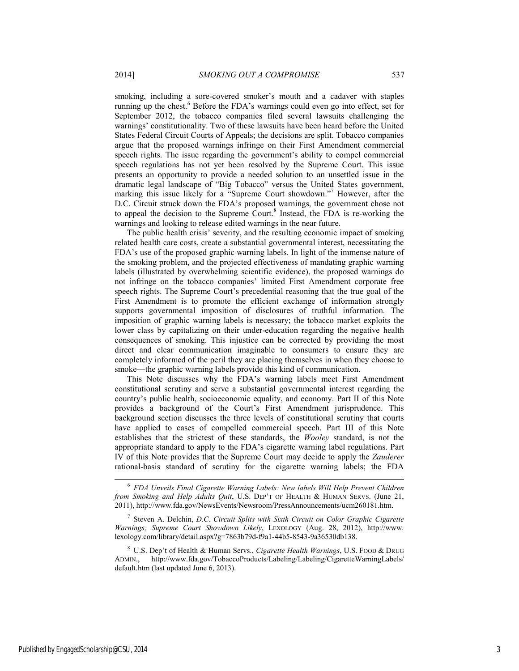smoking, including a sore-covered smoker's mouth and a cadaver with staples running up the chest.<sup>6</sup> Before the FDA's warnings could even go into effect, set for September 2012, the tobacco companies filed several lawsuits challenging the warnings' constitutionality. Two of these lawsuits have been heard before the United States Federal Circuit Courts of Appeals; the decisions are split. Tobacco companies argue that the proposed warnings infringe on their First Amendment commercial speech rights. The issue regarding the government's ability to compel commercial speech regulations has not yet been resolved by the Supreme Court. This issue presents an opportunity to provide a needed solution to an unsettled issue in the dramatic legal landscape of "Big Tobacco" versus the United States government, marking this issue likely for a "Supreme Court showdown."<sup>7</sup> However, after the D.C. Circuit struck down the FDA's proposed warnings, the government chose not

to appeal the decision to the Supreme Court.<sup>8</sup> Instead, the FDA is re-working the

warnings and looking to release edited warnings in the near future. The public health crisis' severity, and the resulting economic impact of smoking related health care costs, create a substantial governmental interest, necessitating the FDA's use of the proposed graphic warning labels. In light of the immense nature of the smoking problem, and the projected effectiveness of mandating graphic warning labels (illustrated by overwhelming scientific evidence), the proposed warnings do not infringe on the tobacco companies' limited First Amendment corporate free speech rights. The Supreme Court's precedential reasoning that the true goal of the First Amendment is to promote the efficient exchange of information strongly supports governmental imposition of disclosures of truthful information. The imposition of graphic warning labels is necessary; the tobacco market exploits the lower class by capitalizing on their under-education regarding the negative health consequences of smoking. This injustice can be corrected by providing the most direct and clear communication imaginable to consumers to ensure they are completely informed of the peril they are placing themselves in when they choose to smoke—the graphic warning labels provide this kind of communication.

This Note discusses why the FDA's warning labels meet First Amendment constitutional scrutiny and serve a substantial governmental interest regarding the country's public health, socioeconomic equality, and economy. Part II of this Note provides a background of the Court's First Amendment jurisprudence. This background section discusses the three levels of constitutional scrutiny that courts have applied to cases of compelled commercial speech. Part III of this Note establishes that the strictest of these standards, the *Wooley* standard, is not the appropriate standard to apply to the FDA's cigarette warning label regulations. Part IV of this Note provides that the Supreme Court may decide to apply the *Zauderer*  rational-basis standard of scrutiny for the cigarette warning labels; the FDA

7 Steven A. Delchin, *D.C. Circuit Splits with Sixth Circuit on Color Graphic Cigarette Warnings; Supreme Court Showdown Likely*, LEXOLOGY (Aug. 28, 2012), http://www. lexology.com/library/detail.aspx?g=7863b79d-f9a1-44b5-8543-9a36530db138.

8 U.S. Dep't of Health & Human Servs., *Cigarette Health Warnings*, U.S. FOOD & DRUG ADMIN., http://www.fda.gov/TobaccoProducts/Labeling/Labeling/CigaretteWarningLabels/ default.htm (last updated June 6, 2013).

 <sup>6</sup> *FDA Unveils Final Cigarette Warning Labels: New labels Will Help Prevent Children from Smoking and Help Adults Quit*, U.S. DEP'T OF HEALTH & HUMAN SERVS. (June 21, 2011), http://www.fda.gov/NewsEvents/Newsroom/PressAnnouncements/ucm260181.htm.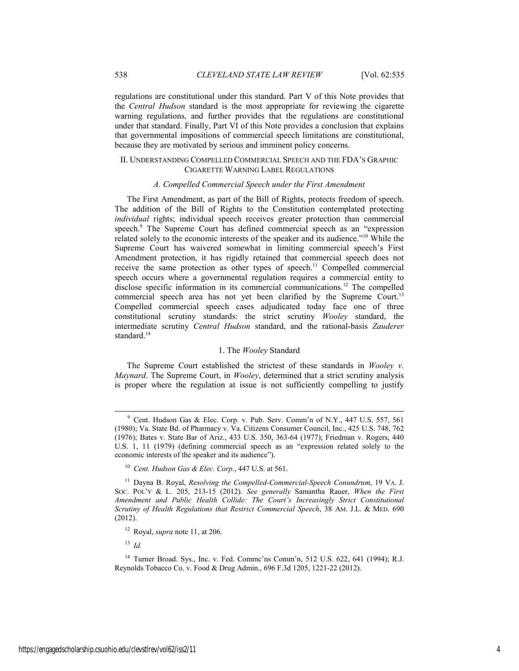regulations are constitutional under this standard. Part V of this Note provides that the *Central Hudson* standard is the most appropriate for reviewing the cigarette warning regulations, and further provides that the regulations are constitutional under that standard. Finally, Part VI of this Note provides a conclusion that explains that governmental impositions of commercial speech limitations are constitutional, because they are motivated by serious and imminent policy concerns.

# II. UNDERSTANDING COMPELLED COMMERCIAL SPEECH AND THE FDA'S GRAPHIC CIGARETTE WARNING LABEL REGULATIONS

#### *A. Compelled Commercial Speech under the First Amendment*

The First Amendment, as part of the Bill of Rights, protects freedom of speech. The addition of the Bill of Rights to the Constitution contemplated protecting *individual* rights; individual speech receives greater protection than commercial speech.<sup>9</sup> The Supreme Court has defined commercial speech as an "expression related solely to the economic interests of the speaker and its audience."10 While the Supreme Court has waivered somewhat in limiting commercial speech's First Amendment protection, it has rigidly retained that commercial speech does not receive the same protection as other types of speech.<sup>11</sup> Compelled commercial speech occurs where a governmental regulation requires a commercial entity to disclose specific information in its commercial communications.<sup>12</sup> The compelled commercial speech area has not yet been clarified by the Supreme Court.<sup>13</sup> Compelled commercial speech cases adjudicated today face one of three constitutional scrutiny standards: the strict scrutiny *Wooley* standard, the intermediate scrutiny *Central Hudson* standard, and the rational-basis *Zauderer*  standard.<sup>14</sup>

#### 1. The *Wooley* Standard

The Supreme Court established the strictest of these standards in *Wooley v. Maynard*. The Supreme Court, in *Wooley*, determined that a strict scrutiny analysis is proper where the regulation at issue is not sufficiently compelling to justify

<sup>13</sup> *Id.*

 <sup>9</sup> Cent. Hudson Gas & Elec. Corp. v. Pub. Serv. Comm'n of N.Y., 447 U.S. 557, 561 (1980); Va. State Bd. of Pharmacy v. Va. Citizens Consumer Council, Inc., 425 U.S. 748, 762 (1976); Bates v. State Bar of Ariz., 433 U.S. 350, 363-64 (1977); Friedman v. Rogers, 440 U.S. 1, 11 (1979) (defining commercial speech as an "expression related solely to the economic interests of the speaker and its audience").

<sup>10</sup> *Cent. Hudson Gas & Elec. Corp.*, 447 U.S. at 561.

<sup>11</sup> Dayna B. Royal, *Resolving the Compelled-Commercial-Speech Conundrum*, 19 VA. J. SOC. POL'Y & L. 205, 213-15 (2012). *See generally* Samantha Rauer, *When the First Amendment and Public Health Collide: The Court's Increasingly Strict Constitutional Scrutiny of Health Regulations that Restrict Commercial Speech*, 38 AM. J.L. & MED. 690 (2012).

<sup>12</sup> Royal, *supra* note 11, at 206.

<sup>14</sup> Turner Broad. Sys., Inc. v. Fed. Commc'ns Comm'n, 512 U.S. 622, 641 (1994); R.J. Reynolds Tobacco Co. v. Food & Drug Admin., 696 F.3d 1205, 1221-22 (2012).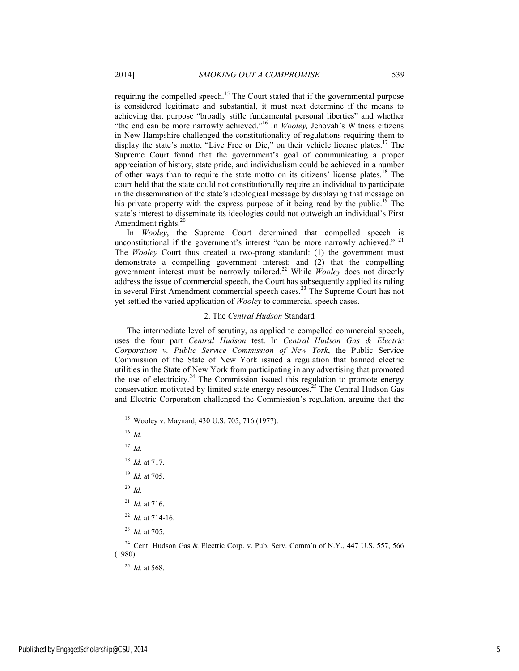requiring the compelled speech.15 The Court stated that if the governmental purpose is considered legitimate and substantial, it must next determine if the means to achieving that purpose "broadly stifle fundamental personal liberties" and whether "the end can be more narrowly achieved."16 In *Wooley,* Jehovah's Witness citizens in New Hampshire challenged the constitutionality of regulations requiring them to display the state's motto, "Live Free or Die," on their vehicle license plates.<sup>17</sup> The Supreme Court found that the government's goal of communicating a proper appreciation of history, state pride, and individualism could be achieved in a number of other ways than to require the state motto on its citizens' license plates.18 The court held that the state could not constitutionally require an individual to participate in the dissemination of the state's ideological message by displaying that message on his private property with the express purpose of it being read by the public.<sup>19</sup> The state's interest to disseminate its ideologies could not outweigh an individual's First Amendment rights.<sup>20</sup>

In *Wooley*, the Supreme Court determined that compelled speech is unconstitutional if the government's interest "can be more narrowly achieved." <sup>21</sup> The *Wooley* Court thus created a two-prong standard: (1) the government must demonstrate a compelling government interest; and (2) that the compelling government interest must be narrowly tailored.22 While *Wooley* does not directly address the issue of commercial speech, the Court has subsequently applied its ruling in several First Amendment commercial speech cases.<sup>23</sup> The Supreme Court has not yet settled the varied application of *Wooley* to commercial speech cases.

#### 2. The *Central Hudson* Standard

The intermediate level of scrutiny, as applied to compelled commercial speech, uses the four part *Central Hudson* test. In *Central Hudson Gas & Electric Corporation v. Public Service Commission of New York*, the Public Service Commission of the State of New York issued a regulation that banned electric utilities in the State of New York from participating in any advertising that promoted the use of electricity.<sup>24</sup> The Commission issued this regulation to promote energy conservation motivated by limited state energy resources.<sup>25</sup> The Central Hudson Gas and Electric Corporation challenged the Commission's regulation, arguing that the

15 Wooley v. Maynard, 430 U.S. 705, 716 (1977).

<sup>16</sup> *Id.*

<sup>17</sup> *Id.*

<sup>18</sup> *Id.* at 717.

<sup>19</sup> *Id.* at 705.

<sup>20</sup> *Id.*

 $^{21}$  *Id.* at 716.

<sup>22</sup> *Id.* at 714-16.

<sup>23</sup> *Id.* at 705.

<sup>24</sup> Cent. Hudson Gas & Electric Corp. v. Pub. Serv. Comm'n of N.Y., 447 U.S. 557, 566 (1980).

<sup>25</sup> *Id.* at 568.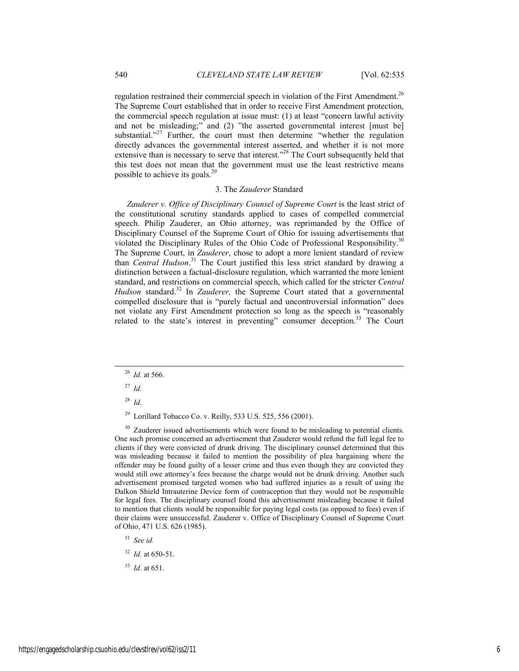regulation restrained their commercial speech in violation of the First Amendment.<sup>26</sup> The Supreme Court established that in order to receive First Amendment protection, the commercial speech regulation at issue must: (1) at least "concern lawful activity and not be misleading;" and (2) "the asserted governmental interest [must be] substantial."<sup>27</sup> Further, the court must then determine "whether the regulation directly advances the governmental interest asserted, and whether it is not more extensive than is necessary to serve that interest."<sup>28</sup> The Court subsequently held that this test does not mean that the government must use the least restrictive means possible to achieve its goals.<sup>29</sup>

#### 3. The *Zauderer* Standard

*Zauderer v. Office of Disciplinary Counsel of Supreme Court* is the least strict of the constitutional scrutiny standards applied to cases of compelled commercial speech. Philip Zauderer, an Ohio attorney, was reprimanded by the Office of Disciplinary Counsel of the Supreme Court of Ohio for issuing advertisements that violated the Disciplinary Rules of the Ohio Code of Professional Responsibility.<sup>30</sup> The Supreme Court, in *Zauderer*, chose to adopt a more lenient standard of review than *Central Hudson*. 31 The Court justified this less strict standard by drawing a distinction between a factual-disclosure regulation, which warranted the more lenient standard, and restrictions on commercial speech, which called for the stricter *Central*  Hudson standard.<sup>32</sup> In *Zauderer*, the Supreme Court stated that a governmental compelled disclosure that is "purely factual and uncontroversial information" does not violate any First Amendment protection so long as the speech is "reasonably related to the state's interest in preventing" consumer deception.<sup>33</sup> The Court

<sup>27</sup> *Id.*

<sup>28</sup> *Id.*

29 Lorillard Tobacco Co. v. Reilly, 533 U.S. 525, 556 (2001).

 $30\,$  Zauderer issued advertisements which were found to be misleading to potential clients. One such promise concerned an advertisement that Zauderer would refund the full legal fee to clients if they were convicted of drunk driving. The disciplinary counsel determined that this was misleading because it failed to mention the possibility of plea bargaining where the offender may be found guilty of a lesser crime and thus even though they are convicted they would still owe attorney's fees because the charge would not be drunk driving. Another such advertisement promised targeted women who had suffered injuries as a result of using the Dalkon Shield Intrauterine Device form of contraception that they would not be responsible for legal fees. The disciplinary counsel found this advertisement misleading because it failed to mention that clients would be responsible for paying legal costs (as opposed to fees) even if their claims were unsuccessful. Zauderer v. Office of Disciplinary Counsel of Supreme Court of Ohio, 471 U.S. 626 (1985).

<sup>31</sup> *See id.*

<sup>32</sup> *Id.* at 650-51.

<sup>33</sup> *Id.* at 651.

 <sup>26</sup> *Id.* at 566.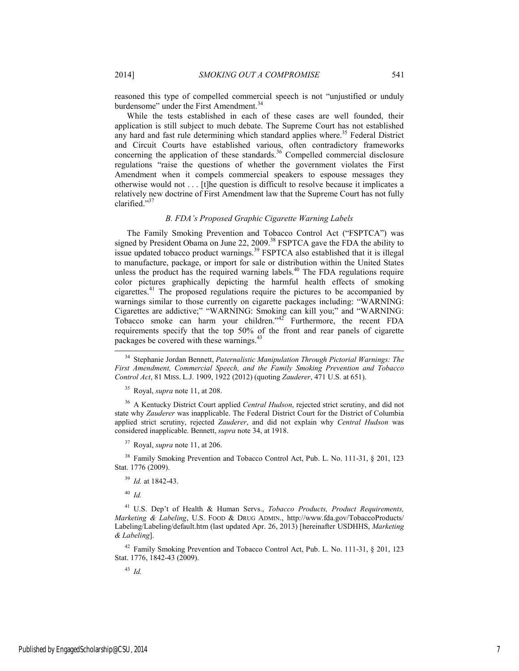reasoned this type of compelled commercial speech is not "unjustified or unduly burdensome" under the First Amendment.<sup>34</sup>

While the tests established in each of these cases are well founded, their application is still subject to much debate. The Supreme Court has not established any hard and fast rule determining which standard applies where.<sup>35</sup> Federal District and Circuit Courts have established various, often contradictory frameworks concerning the application of these standards.<sup>36</sup> Compelled commercial disclosure regulations "raise the questions of whether the government violates the First Amendment when it compels commercial speakers to espouse messages they otherwise would not . . . [t]he question is difficult to resolve because it implicates a relatively new doctrine of First Amendment law that the Supreme Court has not fully clarified."<sup>37</sup>

# *B. FDA's Proposed Graphic Cigarette Warning Labels*

The Family Smoking Prevention and Tobacco Control Act ("FSPTCA") was signed by President Obama on June 22, 2009.<sup>38</sup> FSPTCA gave the FDA the ability to issue updated tobacco product warnings.<sup>39</sup> FSPTCA also established that it is illegal to manufacture, package, or import for sale or distribution within the United States unless the product has the required warning labels.<sup>40</sup> The FDA regulations require color pictures graphically depicting the harmful health effects of smoking cigarettes.41 The proposed regulations require the pictures to be accompanied by warnings similar to those currently on cigarette packages including: "WARNING: Cigarettes are addictive;" "WARNING: Smoking can kill you;" and "WARNING: Tobacco smoke can harm your children."42 Furthermore, the recent FDA requirements specify that the top 50% of the front and rear panels of cigarette packages be covered with these warnings.<sup>43</sup>

 34 Stephanie Jordan Bennett, *Paternalistic Manipulation Through Pictorial Warnings: The First Amendment, Commercial Speech, and the Family Smoking Prevention and Tobacco Control Act*, 81 MISS. L.J. 1909, 1922 (2012) (quoting *Zauderer*, 471 U.S. at 651).

35 Royal, *supra* note 11, at 208.

36 A Kentucky District Court applied *Central Hudson*, rejected strict scrutiny, and did not state why *Zauderer* was inapplicable. The Federal District Court for the District of Columbia applied strict scrutiny, rejected *Zauderer*, and did not explain why *Central Hudson* was considered inapplicable. Bennett, *supra* note 34, at 1918.

37 Royal, *supra* note 11, at 206.

<sup>38</sup> Family Smoking Prevention and Tobacco Control Act, Pub. L. No. 111-31, § 201, 123 Stat. 1776 (2009).

<sup>39</sup> *Id.* at 1842-43.

<sup>40</sup> *Id.*

41 U.S. Dep't of Health & Human Servs., *Tobacco Products, Product Requirements, Marketing & Labeling*, U.S. FOOD & DRUG ADMIN., http://www.fda.gov/TobaccoProducts/ Labeling/Labeling/default.htm (last updated Apr. 26, 2013) [hereinafter USDHHS, *Marketing & Labeling*].

42 Family Smoking Prevention and Tobacco Control Act, Pub. L. No. 111-31, § 201, 123 Stat. 1776, 1842-43 (2009).

<sup>43</sup> *Id.*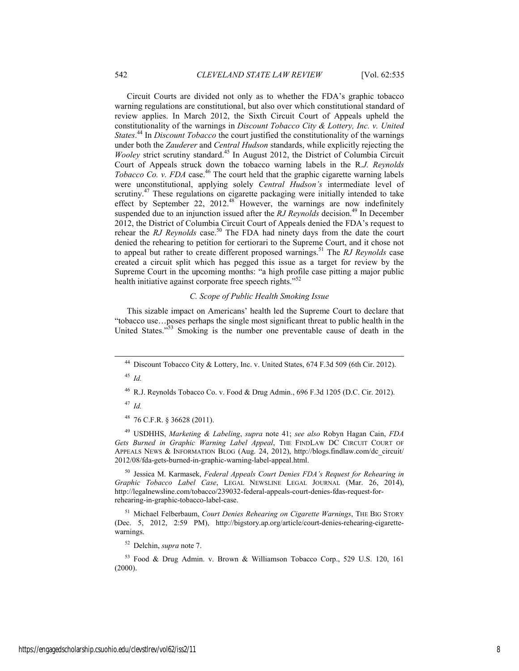Circuit Courts are divided not only as to whether the FDA's graphic tobacco warning regulations are constitutional, but also over which constitutional standard of review applies. In March 2012, the Sixth Circuit Court of Appeals upheld the constitutionality of the warnings in *Discount Tobacco City & Lottery, Inc. v. United States*. 44 In *Discount Tobacco* the court justified the constitutionality of the warnings under both the *Zauderer* and *Central Hudson* standards, while explicitly rejecting the *Wooley* strict scrutiny standard.<sup>45</sup> In August 2012, the District of Columbia Circuit Court of Appeals struck down the tobacco warning labels in the R*.J. Reynolds Tobacco Co. v. FDA* case.<sup>46</sup> The court held that the graphic cigarette warning labels were unconstitutional, applying solely *Central Hudson's* intermediate level of scrutiny.<sup>47</sup> These regulations on cigarette packaging were initially intended to take effect by September 22, 2012.<sup>48</sup> However, the warnings are now indefinitely suspended due to an injunction issued after the *RJ Reynolds* decision.<sup>49</sup> In December 2012, the District of Columbia Circuit Court of Appeals denied the FDA's request to rehear the *RJ Reynolds* case.<sup>50</sup> The FDA had ninety days from the date the court denied the rehearing to petition for certiorari to the Supreme Court, and it chose not to appeal but rather to create different proposed warnings.<sup>51</sup> The *RJ Reynolds* case created a circuit split which has pegged this issue as a target for review by the Supreme Court in the upcoming months: "a high profile case pitting a major public health initiative against corporate free speech rights."<sup>52</sup>

# *C. Scope of Public Health Smoking Issue*

This sizable impact on Americans' health led the Supreme Court to declare that "tobacco use…poses perhaps the single most significant threat to public health in the United States."<sup>53</sup> Smoking is the number one preventable cause of death in the

<sup>45</sup> *Id.*

<sup>46</sup> R.J. Reynolds Tobacco Co. v. Food & Drug Admin., 696 F.3d 1205 (D.C. Cir. 2012).

<sup>47</sup> *Id.*

48 76 C.F.R. § 36628 (2011).

49 USDHHS, *Marketing & Labeling*, *supra* note 41; *see also* Robyn Hagan Cain, *FDA*  Gets Burned in Graphic Warning Label Appeal, THE FINDLAW DC CIRCUIT COURT OF APPEALS NEWS & INFORMATION BLOG (Aug. 24, 2012), http://blogs.findlaw.com/dc\_circuit/ 2012/08/fda-gets-burned-in-graphic-warning-label-appeal.html.

50 Jessica M. Karmasek, *Federal Appeals Court Denies FDA's Request for Rehearing in Graphic Tobacco Label Case*, LEGAL NEWSLINE LEGAL JOURNAL (Mar. 26, 2014), http://legalnewsline.com/tobacco/239032-federal-appeals-court-denies-fdas-request-forrehearing-in-graphic-tobacco-label-case.

51 Michael Felberbaum, *Court Denies Rehearing on Cigarette Warnings*, THE BIG STORY (Dec. 5, 2012, 2:59 PM), http://bigstory.ap.org/article/court-denies-rehearing-cigarettewarnings.

52 Delchin, *supra* note 7.

53 Food & Drug Admin. v. Brown & Williamson Tobacco Corp., 529 U.S. 120, 161 (2000).

Discount Tobacco City & Lottery, Inc. v. United States, 674 F.3d 509 (6th Cir. 2012).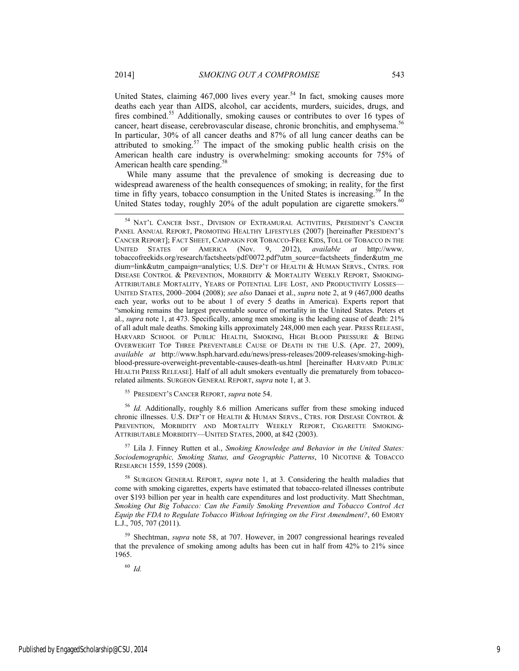United States, claiming  $467,000$  lives every year.<sup>54</sup> In fact, smoking causes more deaths each year than AIDS, alcohol, car accidents, murders, suicides, drugs, and fires combined.<sup>55</sup> Additionally, smoking causes or contributes to over 16 types of cancer, heart disease, cerebrovascular disease, chronic bronchitis, and emphysema.<sup>56</sup> In particular, 30% of all cancer deaths and 87% of all lung cancer deaths can be attributed to smoking.<sup>57</sup> The impact of the smoking public health crisis on the American health care industry is overwhelming: smoking accounts for 75% of American health care spending.<sup>58</sup>

While many assume that the prevalence of smoking is decreasing due to widespread awareness of the health consequences of smoking; in reality, for the first time in fifty years, tobacco consumption in the United States is increasing.<sup>59</sup> In the United States today, roughly 20% of the adult population are cigarette smokers.<sup>60</sup>

55 PRESIDENT'S CANCER REPORT, *supra* note 54.

<sup>56</sup> *Id.* Additionally, roughly 8.6 million Americans suffer from these smoking induced chronic illnesses. U.S. DEP'T OF HEALTH & HUMAN SERVS., CTRS. FOR DISEASE CONTROL & PREVENTION, MORBIDITY AND MORTALITY WEEKLY REPORT, CIGARETTE SMOKING-ATTRIBUTABLE MORBIDITY—UNITED STATES, 2000, at 842 (2003).

57 Lila J. Finney Rutten et al., *Smoking Knowledge and Behavior in the United States: Sociodemographic, Smoking Status, and Geographic Patterns*, 10 NICOTINE & TOBACCO RESEARCH 1559, 1559 (2008).

58 SURGEON GENERAL REPORT, *supra* note 1, at 3. Considering the health maladies that come with smoking cigarettes, experts have estimated that tobacco-related illnesses contribute over \$193 billion per year in health care expenditures and lost productivity. Matt Shechtman, *Smoking Out Big Tobacco: Can the Family Smoking Prevention and Tobacco Control Act Equip the FDA to Regulate Tobacco Without Infringing on the First Amendment?*, 60 EMORY L.J., 705, 707 (2011).

59 Shechtman, *supra* note 58, at 707. However, in 2007 congressional hearings revealed that the prevalence of smoking among adults has been cut in half from 42% to 21% since 1965.

<sup>60</sup> *Id.*

 <sup>54</sup> NAT'L CANCER INST., DIVISION OF EXTRAMURAL ACTIVITIES, PRESIDENT'S CANCER PANEL ANNUAL REPORT, PROMOTING HEALTHY LIFESTYLES (2007) [hereinafter PRESIDENT'S CANCER REPORT]; FACT SHEET, CAMPAIGN FOR TOBACCO-FREE KIDS, TOLL OF TOBACCO IN THE UNITED STATES OF AMERICA (Nov. 9, 2012), *available at* http://www. tobaccofreekids.org/research/factsheets/pdf/0072.pdf?utm\_source=factsheets\_finder&utm\_me dium=link&utm\_campaign=analytics; U.S. DEP'T OF HEALTH & HUMAN SERVS., CNTRS. FOR DISEASE CONTROL & PREVENTION, MORBIDITY & MORTALITY WEEKLY REPORT, SMOKING-ATTRIBUTABLE MORTALITY, YEARS OF POTENTIAL LIFE LOST, AND PRODUCTIVITY LOSSES— UNITED STATES, 2000–2004 (2008); *see also* Danaei et al., *supra* note 2, at 9 (467,000 deaths each year, works out to be about 1 of every 5 deaths in America). Experts report that "smoking remains the largest preventable source of mortality in the United States. Peters et al., *supra* note 1, at 473. Specifically, among men smoking is the leading cause of death: 21% of all adult male deaths. Smoking kills approximately 248,000 men each year. PRESS RELEASE, HARVARD SCHOOL OF PUBLIC HEALTH, SMOKING, HIGH BLOOD PRESSURE & BEING OVERWEIGHT TOP THREE PREVENTABLE CAUSE OF DEATH IN THE U.S. (Apr. 27, 2009), *available at* http://www.hsph.harvard.edu/news/press-releases/2009-releases/smoking-highblood-pressure-overweight-preventable-causes-death-us.html [hereinafter HARVARD PUBLIC HEALTH PRESS RELEASE]. Half of all adult smokers eventually die prematurely from tobaccorelated ailments. SURGEON GENERAL REPORT, *supra* note 1, at 3.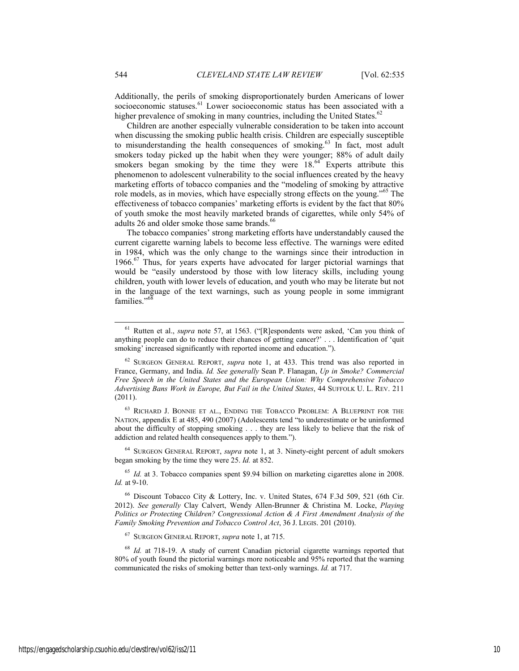Additionally, the perils of smoking disproportionately burden Americans of lower socioeconomic statuses.<sup>61</sup> Lower socioeconomic status has been associated with a higher prevalence of smoking in many countries, including the United States. $62$ 

Children are another especially vulnerable consideration to be taken into account when discussing the smoking public health crisis. Children are especially susceptible to misunderstanding the health consequences of smoking.<sup>63</sup> In fact, most adult smokers today picked up the habit when they were younger; 88% of adult daily smokers began smoking by the time they were  $18.64$  Experts attribute this phenomenon to adolescent vulnerability to the social influences created by the heavy marketing efforts of tobacco companies and the "modeling of smoking by attractive role models, as in movies, which have especially strong effects on the young."65 The effectiveness of tobacco companies' marketing efforts is evident by the fact that 80% of youth smoke the most heavily marketed brands of cigarettes, while only 54% of adults 26 and older smoke those same brands.<sup>66</sup>

The tobacco companies' strong marketing efforts have understandably caused the current cigarette warning labels to become less effective. The warnings were edited in 1984, which was the only change to the warnings since their introduction in  $1966<sup>67</sup>$  Thus, for years experts have advocated for larger pictorial warnings that would be "easily understood by those with low literacy skills, including young children, youth with lower levels of education, and youth who may be literate but not in the language of the text warnings, such as young people in some immigrant families." $\frac{6}{3}$ 

63 RICHARD J. BONNIE ET AL., ENDING THE TOBACCO PROBLEM: A BLUEPRINT FOR THE NATION, appendix E at 485, 490 (2007) (Adolescents tend "to underestimate or be uninformed about the difficulty of stopping smoking . . . they are less likely to believe that the risk of addiction and related health consequences apply to them.").

64 SURGEON GENERAL REPORT, *supra* note 1, at 3. Ninety-eight percent of adult smokers began smoking by the time they were 25. *Id.* at 852.

<sup>65</sup> *Id.* at 3. Tobacco companies spent \$9.94 billion on marketing cigarettes alone in 2008. *Id.* at 9-10.

66 Discount Tobacco City & Lottery, Inc. v. United States, 674 F.3d 509, 521 (6th Cir. 2012). *See generally* Clay Calvert, Wendy Allen-Brunner & Christina M. Locke, *Playing Politics or Protecting Children? Congressional Action & A First Amendment Analysis of the Family Smoking Prevention and Tobacco Control Act*, 36 J. LEGIS. 201 (2010).

67 SURGEON GENERAL REPORT, *supra* note 1, at 715.

 <sup>61</sup> Rutten et al., *supra* note 57, at 1563. ("[R]espondents were asked, 'Can you think of anything people can do to reduce their chances of getting cancer?' . . . Identification of 'quit smoking' increased significantly with reported income and education.").

<sup>62</sup> SURGEON GENERAL REPORT, *supra* note 1, at 433. This trend was also reported in France, Germany, and India. *Id. See generally* Sean P. Flanagan, *Up in Smoke? Commercial Free Speech in the United States and the European Union: Why Comprehensive Tobacco Advertising Bans Work in Europe, But Fail in the United States*, 44 SUFFOLK U. L. REV. 211 (2011).

<sup>68</sup> *Id.* at 718-19. A study of current Canadian pictorial cigarette warnings reported that 80% of youth found the pictorial warnings more noticeable and 95% reported that the warning communicated the risks of smoking better than text-only warnings. *Id.* at 717.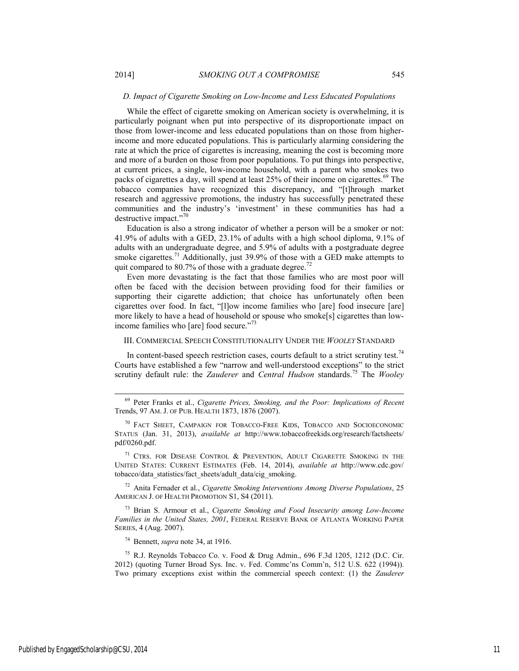While the effect of cigarette smoking on American society is overwhelming, it is particularly poignant when put into perspective of its disproportionate impact on those from lower-income and less educated populations than on those from higherincome and more educated populations. This is particularly alarming considering the rate at which the price of cigarettes is increasing, meaning the cost is becoming more and more of a burden on those from poor populations. To put things into perspective, at current prices, a single, low-income household, with a parent who smokes two packs of cigarettes a day, will spend at least 25% of their income on cigarettes.<sup>69</sup> The tobacco companies have recognized this discrepancy, and "[t]hrough market research and aggressive promotions, the industry has successfully penetrated these communities and the industry's 'investment' in these communities has had a destructive impact."70

Education is also a strong indicator of whether a person will be a smoker or not: 41.9% of adults with a GED, 23.1% of adults with a high school diploma, 9.1% of adults with an undergraduate degree, and 5.9% of adults with a postgraduate degree smoke cigarettes.<sup>71</sup> Additionally, just 39.9% of those with a GED make attempts to quit compared to 80.7% of those with a graduate degree.<sup>72</sup>

Even more devastating is the fact that those families who are most poor will often be faced with the decision between providing food for their families or supporting their cigarette addiction; that choice has unfortunately often been cigarettes over food. In fact, "[l]ow income families who [are] food insecure [are] more likely to have a head of household or spouse who smoke[s] cigarettes than lowincome families who [are] food secure."73

## III. COMMERCIAL SPEECH CONSTITUTIONALITY UNDER THE *WOOLEY* STANDARD

In content-based speech restriction cases, courts default to a strict scrutiny test.<sup>74</sup> Courts have established a few "narrow and well-understood exceptions" to the strict scrutiny default rule: the *Zauderer* and *Central Hudson* standards.<sup>75</sup> The *Woolev* 

<sup>71</sup> CTRS. FOR DISEASE CONTROL & PREVENTION, ADULT CIGARETTE SMOKING IN THE UNITED STATES: CURRENT ESTIMATES (Feb. 14, 2014), *available at* http://www.cdc.gov/ tobacco/data\_statistics/fact\_sheets/adult\_data/cig\_smoking.

72 Anita Fernader et al., *Cigarette Smoking Interventions Among Diverse Populations*, 25 AMERICAN J. OF HEALTH PROMOTION S1, S4 (2011).

73 Brian S. Armour et al., *Cigarette Smoking and Food Insecurity among Low-Income Families in the United States, 2001*, FEDERAL RESERVE BANK OF ATLANTA WORKING PAPER SERIES, 4 (Aug. 2007).

74 Bennett, *supra* note 34, at 1916.

75 R.J. Reynolds Tobacco Co. v. Food & Drug Admin., 696 F.3d 1205, 1212 (D.C. Cir. 2012) (quoting Turner Broad Sys. Inc. v. Fed. Commc'ns Comm'n, 512 U.S. 622 (1994)). Two primary exceptions exist within the commercial speech context: (1) the *Zauderer* 

 <sup>69</sup> Peter Franks et al., *Cigarette Prices, Smoking, and the Poor: Implications of Recent*  Trends, 97 AM. J. OF PUB. HEALTH 1873, 1876 (2007).

<sup>70</sup> FACT SHEET, CAMPAIGN FOR TOBACCO-FREE KIDS, TOBACCO AND SOCIOECONOMIC STATUS (Jan. 31, 2013), *available at* http://www.tobaccofreekids.org/research/factsheets/ pdf/0260.pdf.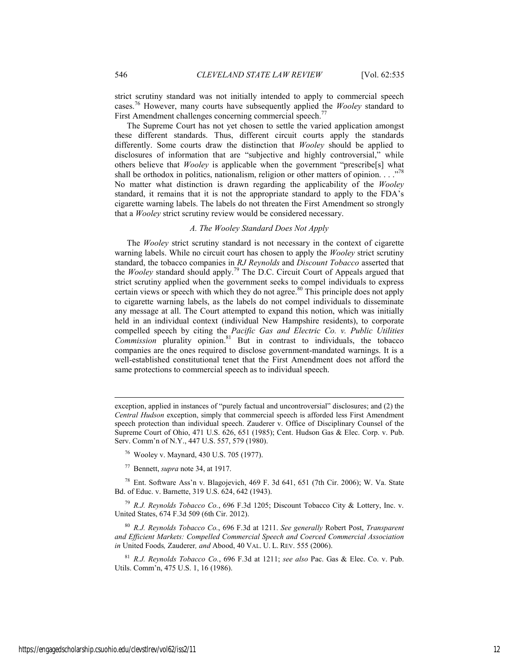strict scrutiny standard was not initially intended to apply to commercial speech cases.76 However, many courts have subsequently applied the *Wooley* standard to First Amendment challenges concerning commercial speech.<sup>77</sup>

The Supreme Court has not yet chosen to settle the varied application amongst these different standards. Thus, different circuit courts apply the standards differently. Some courts draw the distinction that *Wooley* should be applied to disclosures of information that are "subjective and highly controversial," while others believe that *Wooley* is applicable when the government "prescribe[s] what shall be orthodox in politics, nationalism, religion or other matters of opinion.  $\ldots$ <sup>78</sup> No matter what distinction is drawn regarding the applicability of the *Wooley* standard, it remains that it is not the appropriate standard to apply to the FDA's cigarette warning labels. The labels do not threaten the First Amendment so strongly that a *Wooley* strict scrutiny review would be considered necessary.

# *A. The Wooley Standard Does Not Apply*

The *Wooley* strict scrutiny standard is not necessary in the context of cigarette warning labels. While no circuit court has chosen to apply the *Wooley* strict scrutiny standard, the tobacco companies in *RJ Reynolds* and *Discount Tobacco* asserted that the *Wooley* standard should apply.79 The D.C. Circuit Court of Appeals argued that strict scrutiny applied when the government seeks to compel individuals to express certain views or speech with which they do not agree.<sup>80</sup> This principle does not apply to cigarette warning labels, as the labels do not compel individuals to disseminate any message at all. The Court attempted to expand this notion, which was initially held in an individual context (individual New Hampshire residents), to corporate compelled speech by citing the *Pacific Gas and Electric Co. v. Public Utilities*  **Commission** plurality opinion.<sup>81</sup> But in contrast to individuals, the tobacco companies are the ones required to disclose government-mandated warnings. It is a well-established constitutional tenet that the First Amendment does not afford the same protections to commercial speech as to individual speech.

l

exception, applied in instances of "purely factual and uncontroversial" disclosures; and (2) the *Central Hudson* exception, simply that commercial speech is afforded less First Amendment speech protection than individual speech. Zauderer v. Office of Disciplinary Counsel of the Supreme Court of Ohio, 471 U.S. 626, 651 (1985); Cent. Hudson Gas & Elec. Corp. v. Pub. Serv. Comm'n of N.Y., 447 U.S. 557, 579 (1980).

<sup>76</sup> Wooley v. Maynard, 430 U.S. 705 (1977).

<sup>77</sup> Bennett, *supra* note 34, at 1917.

<sup>78</sup> Ent. Software Ass'n v. Blagojevich, 469 F. 3d 641, 651 (7th Cir. 2006); W. Va. State Bd. of Educ. v. Barnette, 319 U.S. 624, 642 (1943).

<sup>79</sup> *R.J. Reynolds Tobacco Co.*, 696 F.3d 1205; Discount Tobacco City & Lottery, Inc. v. United States, 674 F.3d 509 (6th Cir. 2012).

<sup>80</sup> *R.J. Reynolds Tobacco Co.*, 696 F.3d at 1211. *See generally* Robert Post, *Transparent and Efficient Markets: Compelled Commercial Speech and Coerced Commercial Association in* United Foods*,* Zauderer*, and* Abood, 40 VAL. U. L. REV. 555 (2006).

<sup>81</sup> *R.J. Reynolds Tobacco Co.*, 696 F.3d at 1211; *see also* Pac. Gas & Elec. Co. v. Pub. Utils. Comm'n, 475 U.S. 1, 16 (1986).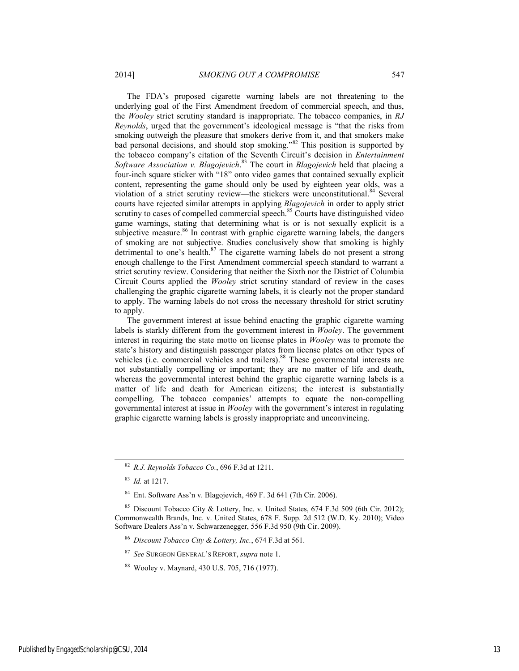The FDA's proposed cigarette warning labels are not threatening to the underlying goal of the First Amendment freedom of commercial speech, and thus, the *Wooley* strict scrutiny standard is inappropriate. The tobacco companies, in *RJ Reynolds*, urged that the government's ideological message is "that the risks from smoking outweigh the pleasure that smokers derive from it, and that smokers make bad personal decisions, and should stop smoking."82 This position is supported by the tobacco company's citation of the Seventh Circuit's decision in *Entertainment Software Association v. Blagojevich*. 83 The court in *Blagojevich* held that placing a four-inch square sticker with "18" onto video games that contained sexually explicit content, representing the game should only be used by eighteen year olds, was a violation of a strict scrutiny review—the stickers were unconstitutional.<sup>84</sup> Several courts have rejected similar attempts in applying *Blagojevich* in order to apply strict scrutiny to cases of compelled commercial speech.<sup>85</sup> Courts have distinguished video game warnings, stating that determining what is or is not sexually explicit is a subjective measure.<sup>86</sup> In contrast with graphic cigarette warning labels, the dangers

of smoking are not subjective. Studies conclusively show that smoking is highly detrimental to one's health. $87$  The cigarette warning labels do not present a strong enough challenge to the First Amendment commercial speech standard to warrant a strict scrutiny review. Considering that neither the Sixth nor the District of Columbia Circuit Courts applied the *Wooley* strict scrutiny standard of review in the cases challenging the graphic cigarette warning labels, it is clearly not the proper standard to apply. The warning labels do not cross the necessary threshold for strict scrutiny to apply.

The government interest at issue behind enacting the graphic cigarette warning labels is starkly different from the government interest in *Wooley*. The government interest in requiring the state motto on license plates in *Wooley* was to promote the state's history and distinguish passenger plates from license plates on other types of vehicles (i.e. commercial vehicles and trailers).88 These governmental interests are not substantially compelling or important; they are no matter of life and death, whereas the governmental interest behind the graphic cigarette warning labels is a matter of life and death for American citizens; the interest is substantially compelling. The tobacco companies' attempts to equate the non-compelling governmental interest at issue in *Wooley* with the government's interest in regulating graphic cigarette warning labels is grossly inappropriate and unconvincing.

 <sup>82</sup> *R.J. Reynolds Tobacco Co.*, 696 F.3d at 1211.

<sup>83</sup> *Id.* at 1217.

 $84$  Ent. Software Ass'n v. Blagojevich, 469 F. 3d 641 (7th Cir. 2006).

<sup>&</sup>lt;sup>85</sup> Discount Tobacco City & Lottery, Inc. v. United States, 674 F.3d 509 (6th Cir. 2012); Commonwealth Brands, Inc. v. United States, 678 F. Supp. 2d 512 (W.D. Ky. 2010); Video Software Dealers Ass'n v. Schwarzenegger, 556 F.3d 950 (9th Cir. 2009).

<sup>86</sup> *Discount Tobacco City & Lottery, Inc.*, 674 F.3d at 561.

<sup>87</sup> *See* SURGEON GENERAL'S REPORT, *supra* note 1.

<sup>88</sup> Wooley v. Maynard, 430 U.S. 705, 716 (1977).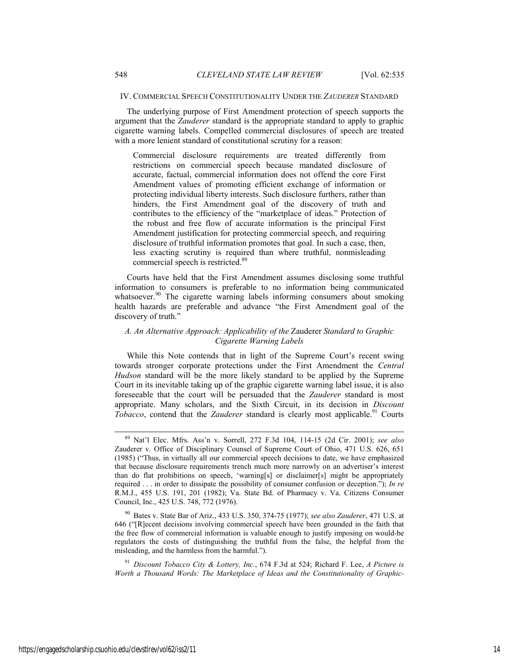#### IV. COMMERCIAL SPEECH CONSTITUTIONALITY UNDER THE *ZAUDERER* STANDARD

The underlying purpose of First Amendment protection of speech supports the argument that the *Zauderer* standard is the appropriate standard to apply to graphic cigarette warning labels. Compelled commercial disclosures of speech are treated with a more lenient standard of constitutional scrutiny for a reason:

Commercial disclosure requirements are treated differently from restrictions on commercial speech because mandated disclosure of accurate, factual, commercial information does not offend the core First Amendment values of promoting efficient exchange of information or protecting individual liberty interests. Such disclosure furthers, rather than hinders, the First Amendment goal of the discovery of truth and contributes to the efficiency of the "marketplace of ideas." Protection of the robust and free flow of accurate information is the principal First Amendment justification for protecting commercial speech, and requiring disclosure of truthful information promotes that goal. In such a case, then, less exacting scrutiny is required than where truthful, nonmisleading commercial speech is restricted.<sup>89</sup>

Courts have held that the First Amendment assumes disclosing some truthful information to consumers is preferable to no information being communicated whatsoever.<sup>90</sup> The cigarette warning labels informing consumers about smoking health hazards are preferable and advance "the First Amendment goal of the discovery of truth."

# *A. An Alternative Approach: Applicability of the* Zauderer *Standard to Graphic Cigarette Warning Labels*

While this Note contends that in light of the Supreme Court's recent swing towards stronger corporate protections under the First Amendment the *Central Hudson* standard will be the more likely standard to be applied by the Supreme Court in its inevitable taking up of the graphic cigarette warning label issue, it is also foreseeable that the court will be persuaded that the *Zauderer* standard is most appropriate. Many scholars, and the Sixth Circuit, in its decision in *Discount Tobacco*, contend that the *Zauderer* standard is clearly most applicable.<sup>91</sup> Courts

<sup>91</sup> *Discount Tobacco City & Lottery, Inc.*, 674 F.3d at 524; Richard F. Lee, *A Picture is Worth a Thousand Words: The Marketplace of Ideas and the Constitutionality of Graphic-*

 <sup>89</sup> Nat'l Elec. Mfrs. Ass'n v. Sorrell, 272 F.3d 104, 114-15 (2d Cir. 2001); *see also* Zauderer v. Office of Disciplinary Counsel of Supreme Court of Ohio, 471 U.S. 626, 651 (1985) ("Thus, in virtually all our commercial speech decisions to date, we have emphasized that because disclosure requirements trench much more narrowly on an advertiser's interest than do flat prohibitions on speech, 'warning[s] or disclaimer[s] might be appropriately required . . . in order to dissipate the possibility of consumer confusion or deception."); *In re* R.M.J., 455 U.S. 191, 201 (1982); Va. State Bd. of Pharmacy v. Va. Citizens Consumer Council, Inc., 425 U.S. 748, 772 (1976).

<sup>90</sup> Bates v. State Bar of Ariz., 433 U.S. 350, 374-75 (1977); *see also Zauderer*, 471 U.S. at 646 ("[R]ecent decisions involving commercial speech have been grounded in the faith that the free flow of commercial information is valuable enough to justify imposing on would-be regulators the costs of distinguishing the truthful from the false, the helpful from the misleading, and the harmless from the harmful.").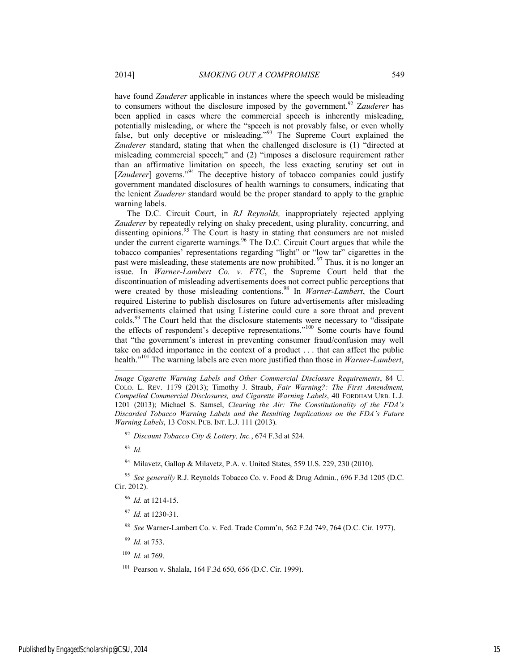have found *Zauderer* applicable in instances where the speech would be misleading to consumers without the disclosure imposed by the government.92 Z*auderer* has been applied in cases where the commercial speech is inherently misleading, potentially misleading, or where the "speech is not provably false, or even wholly false, but only deceptive or misleading."<sup>93</sup> The Supreme Court explained the *Zauderer* standard, stating that when the challenged disclosure is (1) "directed at misleading commercial speech;" and (2) "imposes a disclosure requirement rather than an affirmative limitation on speech, the less exacting scrutiny set out in [*Zauderer*] governs."<sup>94</sup> The deceptive history of tobacco companies could justify government mandated disclosures of health warnings to consumers, indicating that the lenient *Zauderer* standard would be the proper standard to apply to the graphic warning labels.

The D.C. Circuit Court, in *RJ Reynolds,* inappropriately rejected applying *Zauderer* by repeatedly relying on shaky precedent, using plurality, concurring, and dissenting opinions.<sup>95</sup> The Court is hasty in stating that consumers are not misled under the current cigarette warnings.<sup>96</sup> The D.C. Circuit Court argues that while the tobacco companies' representations regarding "light" or "low tar" cigarettes in the past were misleading, these statements are now prohibited. <sup>97</sup> Thus, it is no longer an issue. In *Warner-Lambert Co. v. FTC*, the Supreme Court held that the discontinuation of misleading advertisements does not correct public perceptions that were created by those misleading contentions.<sup>98</sup> In *Warner-Lambert*, the Court required Listerine to publish disclosures on future advertisements after misleading advertisements claimed that using Listerine could cure a sore throat and prevent colds.<sup>99</sup> The Court held that the disclosure statements were necessary to "dissipate" the effects of respondent's deceptive representations."<sup>100</sup> Some courts have found that "the government's interest in preventing consumer fraud/confusion may well take on added importance in the context of a product . . . that can affect the public health."101 The warning labels are even more justified than those in *Warner-Lambert*,

*Image Cigarette Warning Labels and Other Commercial Disclosure Requirements*, 84 U. COLO. L. REV. 1179 (2013); Timothy J. Straub, *Fair Warning?: The First Amendment, Compelled Commercial Disclosures, and Cigarette Warning Labels*, 40 FORDHAM URB. L.J. 1201 (2013); Michael S. Samsel, *Clearing the Air: The Constitutionality of the FDA's Discarded Tobacco Warning Labels and the Resulting Implications on the FDA's Future Warning Labels*, 13 CONN. PUB. INT. L.J. 111 (2013).

<sup>92</sup> *Discount Tobacco City & Lottery, Inc.*, 674 F.3d at 524.

<sup>93</sup> *Id.*

l

94 Milavetz, Gallop & Milavetz, P.A. v. United States, 559 U.S. 229, 230 (2010).

<sup>95</sup> *See generally* R.J. Reynolds Tobacco Co. v. Food & Drug Admin., 696 F.3d 1205 (D.C. Cir. 2012).

<sup>96</sup> *Id.* at 1214-15.

<sup>97</sup> *Id.* at 1230-31.

<sup>98</sup> *See* Warner-Lambert Co. v. Fed. Trade Comm'n, 562 F.2d 749, 764 (D.C. Cir. 1977).

<sup>99</sup> *Id.* at 753.

<sup>100</sup> *Id.* at 769.

101 Pearson v. Shalala, 164 F.3d 650, 656 (D.C. Cir. 1999).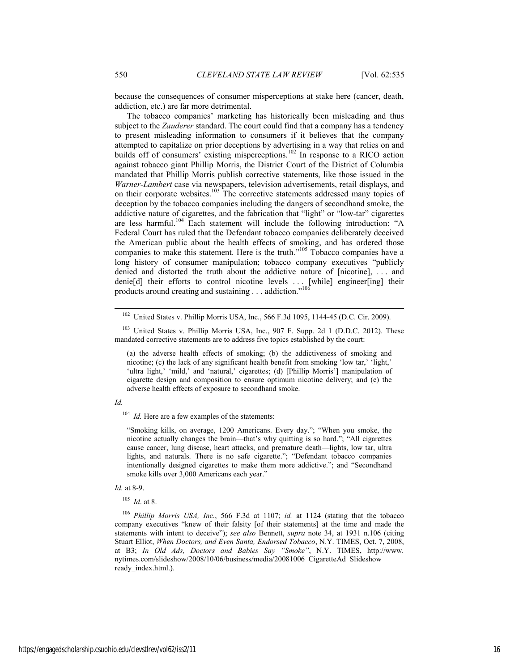because the consequences of consumer misperceptions at stake here (cancer, death, addiction, etc.) are far more detrimental.

The tobacco companies' marketing has historically been misleading and thus subject to the *Zauderer* standard. The court could find that a company has a tendency to present misleading information to consumers if it believes that the company attempted to capitalize on prior deceptions by advertising in a way that relies on and builds off of consumers' existing misperceptions.<sup>102</sup> In response to a RICO action against tobacco giant Phillip Morris, the District Court of the District of Columbia mandated that Phillip Morris publish corrective statements, like those issued in the *Warner-Lambert* case via newspapers, television advertisements, retail displays, and on their corporate websites.<sup>103</sup> The corrective statements addressed many topics of deception by the tobacco companies including the dangers of secondhand smoke, the addictive nature of cigarettes, and the fabrication that "light" or "low-tar" cigarettes are less harmful.<sup>104</sup> Each statement will include the following introduction: "A Federal Court has ruled that the Defendant tobacco companies deliberately deceived the American public about the health effects of smoking, and has ordered those companies to make this statement. Here is the truth."105 Tobacco companies have a long history of consumer manipulation; tobacco company executives "publicly denied and distorted the truth about the addictive nature of [nicotine], . . . and denie[d] their efforts to control nicotine levels . . . [while] engineer[ing] their products around creating and sustaining . . . addiction."<sup>106</sup>

<sup>103</sup> United States v. Phillip Morris USA, Inc., 907 F. Supp. 2d 1 (D.D.C. 2012). These mandated corrective statements are to address five topics established by the court:

(a) the adverse health effects of smoking; (b) the addictiveness of smoking and nicotine; (c) the lack of any significant health benefit from smoking 'low tar,' 'light,' 'ultra light,' 'mild,' and 'natural,' cigarettes; (d) [Phillip Morris'] manipulation of cigarette design and composition to ensure optimum nicotine delivery; and (e) the adverse health effects of exposure to secondhand smoke.

#### *Id.*

<sup>104</sup> *Id.* Here are a few examples of the statements:

"Smoking kills, on average, 1200 Americans. Every day."; "When you smoke, the nicotine actually changes the brain—that's why quitting is so hard."; "All cigarettes cause cancer, lung disease, heart attacks, and premature death—lights, low tar, ultra lights, and naturals. There is no safe cigarette."; "Defendant tobacco companies intentionally designed cigarettes to make them more addictive."; and "Secondhand smoke kills over 3,000 Americans each year."

#### *Id.* at 8-9.

<sup>105</sup> *Id*. at 8.

<sup>106</sup> *Phillip Morris USA, Inc.*, 566 F.3d at 1107; *id.* at 1124 (stating that the tobacco company executives "knew of their falsity [of their statements] at the time and made the statements with intent to deceive"); *see also* Bennett, *supra* note 34, at 1931 n.106 (citing Stuart Elliot, *When Doctors, and Even Santa, Endorsed Tobacco*, N.Y. TIMES, Oct. 7, 2008, at B3; *In Old Ads, Doctors and Babies Say "Smoke"*, N.Y. TIMES, http://www. nytimes.com/slideshow/2008/10/06/business/media/20081006\_CigaretteAd\_Slideshow\_ ready\_index.html.).

<sup>&</sup>lt;sup>102</sup> United States v. Phillip Morris USA, Inc., 566 F.3d 1095, 1144-45 (D.C. Cir. 2009).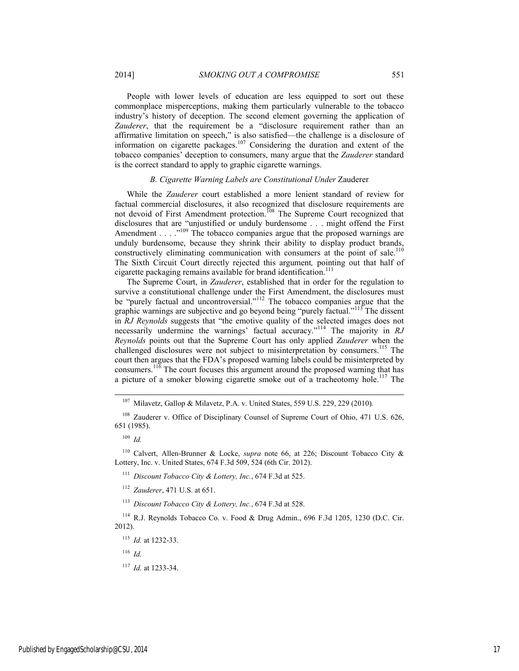People with lower levels of education are less equipped to sort out these commonplace misperceptions, making them particularly vulnerable to the tobacco industry's history of deception. The second element governing the application of *Zauderer*, that the requirement be a "disclosure requirement rather than an affirmative limitation on speech," is also satisfied—the challenge is a disclosure of information on cigarette packages.<sup>107</sup> Considering the duration and extent of the tobacco companies' deception to consumers, many argue that the *Zauderer* standard is the correct standard to apply to graphic cigarette warnings.

#### *B. Cigarette Warning Labels are Constitutional Under* Zauderer

While the *Zauderer* court established a more lenient standard of review for factual commercial disclosures, it also recognized that disclosure requirements are not devoid of First Amendment protection.<sup>108</sup> The Supreme Court recognized that disclosures that are "unjustified or unduly burdensome . . . might offend the First Amendment . . . .<sup>"109</sup> The tobacco companies argue that the proposed warnings are unduly burdensome, because they shrink their ability to display product brands, constructively eliminating communication with consumers at the point of sale.<sup>110</sup> The Sixth Circuit Court directly rejected this argument*,* pointing out that half of cigarette packaging remains available for brand identification.<sup>111</sup>

The Supreme Court, in *Zauderer*, established that in order for the regulation to survive a constitutional challenge under the First Amendment, the disclosures must be "purely factual and uncontroversial."<sup>112</sup> The tobacco companies argue that the graphic warnings are subjective and go beyond being "purely factual."113 The dissent in *RJ Reynolds* suggests that "the emotive quality of the selected images does not necessarily undermine the warnings' factual accuracy."<sup>114</sup> The majority in *RJ Reynolds* points out that the Supreme Court has only applied *Zauderer* when the challenged disclosures were not subject to misinterpretation by consumers.<sup>115</sup> The court then argues that the FDA's proposed warning labels could be misinterpreted by consumers.116 The court focuses this argument around the proposed warning that has a picture of a smoker blowing cigarette smoke out of a tracheotomy hole.<sup>117</sup> The

107 Milavetz, Gallop & Milavetz, P.A. v. United States, 559 U.S. 229, 229 (2010).

<sup>108</sup> Zauderer v. Office of Disciplinary Counsel of Supreme Court of Ohio, 471 U.S. 626, 651 (1985).

<sup>109</sup> *Id.*

110 Calvert, Allen-Brunner & Locke, *supra* note 66, at 226; Discount Tobacco City & Lottery, Inc. v. United States, 674 F.3d 509, 524 (6th Cir. 2012).

<sup>111</sup> *Discount Tobacco City & Lottery, Inc.*, 674 F.3d at 525.

<sup>112</sup> *Zauderer*, 471 U.S. at 651.

<sup>113</sup> *Discount Tobacco City & Lottery, Inc.*, 674 F.3d at 528.

114 R.J. Reynolds Tobacco Co. v. Food & Drug Admin., 696 F.3d 1205, 1230 (D.C. Cir. 2012).

<sup>115</sup> *Id.* at 1232-33.

<sup>116</sup> *Id.*

<sup>117</sup> *Id.* at 1233-34.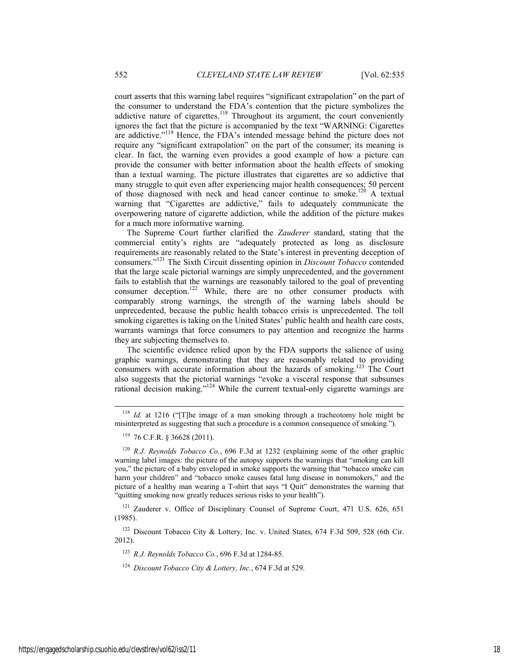court asserts that this warning label requires "significant extrapolation" on the part of the consumer to understand the FDA's contention that the picture symbolizes the addictive nature of cigarettes.<sup>118</sup> Throughout its argument, the court conveniently ignores the fact that the picture is accompanied by the text "WARNING: Cigarettes are addictive."119 Hence, the FDA's intended message behind the picture does not require any "significant extrapolation" on the part of the consumer; its meaning is clear. In fact, the warning even provides a good example of how a picture can provide the consumer with better information about the health effects of smoking than a textual warning. The picture illustrates that cigarettes are so addictive that many struggle to quit even after experiencing major health consequences; 50 percent of those diagnosed with neck and head cancer continue to smoke.120 A textual warning that "Cigarettes are addictive," fails to adequately communicate the overpowering nature of cigarette addiction, while the addition of the picture makes for a much more informative warning.

The Supreme Court further clarified the *Zauderer* standard, stating that the commercial entity's rights are "adequately protected as long as disclosure requirements are reasonably related to the State's interest in preventing deception of consumers."121 The Sixth Circuit dissenting opinion in *Discount Tobacco* contended that the large scale pictorial warnings are simply unprecedented, and the government fails to establish that the warnings are reasonably tailored to the goal of preventing consumer deception.<sup>122</sup> While, there are no other consumer products with comparably strong warnings, the strength of the warning labels should be unprecedented, because the public health tobacco crisis is unprecedented. The toll smoking cigarettes is taking on the United States' public health and health care costs, warrants warnings that force consumers to pay attention and recognize the harms they are subjecting themselves to.

The scientific evidence relied upon by the FDA supports the salience of using graphic warnings, demonstrating that they are reasonably related to providing consumers with accurate information about the hazards of smoking.123 The Court also suggests that the pictorial warnings "evoke a visceral response that subsumes rational decision making."124 While the current textual-only cigarette warnings are

<sup>121</sup> Zauderer v. Office of Disciplinary Counsel of Supreme Court, 471 U.S. 626, 651 (1985).

<sup>122</sup> Discount Tobacco City & Lottery, Inc. v. United States, 674 F.3d 509, 528 (6th Cir. 2012).

<sup>123</sup> *R.J. Reynolds Tobacco Co.*, 696 F.3d at 1284-85.

<sup>124</sup> *Discount Tobacco City & Lottery, Inc.*, 674 F.3d at 529.

 <sup>118</sup> *Id.* at 1216 ("[T]he image of a man smoking through a tracheotomy hole might be misinterpreted as suggesting that such a procedure is a common consequence of smoking.").

<sup>119 76</sup> C.F.R. § 36628 (2011).

<sup>120</sup> *R.J. Reynolds Tobacco Co.*, 696 F.3d at 1232 (explaining some of the other graphic warning label images: the picture of the autopsy supports the warnings that "smoking can kill you," the picture of a baby enveloped in smoke supports the warning that "tobacco smoke can harm your children" and "tobacco smoke causes fatal lung disease in nonsmokers," and the picture of a healthy man wearing a T-shirt that says "I Quit" demonstrates the warning that "quitting smoking now greatly reduces serious risks to your health").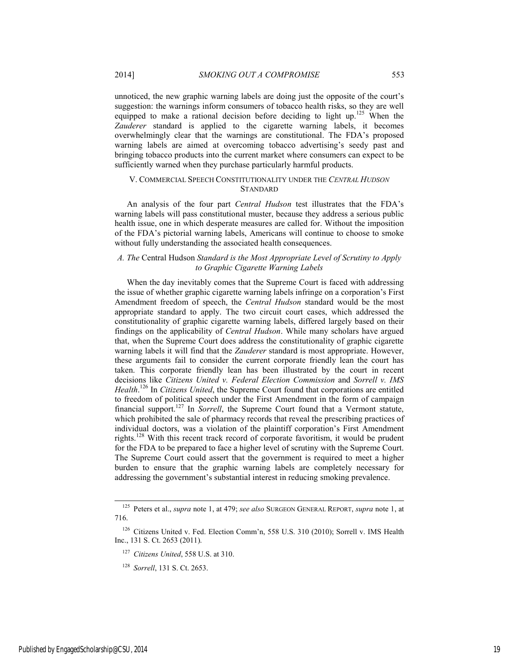unnoticed, the new graphic warning labels are doing just the opposite of the court's suggestion: the warnings inform consumers of tobacco health risks, so they are well equipped to make a rational decision before deciding to light up.<sup>125</sup> When the Zauderer standard is applied to the cigarette warning labels, it becomes overwhelmingly clear that the warnings are constitutional. The FDA's proposed warning labels are aimed at overcoming tobacco advertising's seedy past and bringing tobacco products into the current market where consumers can expect to be sufficiently warned when they purchase particularly harmful products.

# V. COMMERCIAL SPEECH CONSTITUTIONALITY UNDER THE *CENTRAL HUDSON* **STANDARD**

An analysis of the four part *Central Hudson* test illustrates that the FDA's warning labels will pass constitutional muster, because they address a serious public health issue, one in which desperate measures are called for. Without the imposition of the FDA's pictorial warning labels, Americans will continue to choose to smoke without fully understanding the associated health consequences.

# *A. The* Central Hudson *Standard is the Most Appropriate Level of Scrutiny to Apply to Graphic Cigarette Warning Labels*

When the day inevitably comes that the Supreme Court is faced with addressing the issue of whether graphic cigarette warning labels infringe on a corporation's First Amendment freedom of speech, the *Central Hudson* standard would be the most appropriate standard to apply. The two circuit court cases, which addressed the constitutionality of graphic cigarette warning labels, differed largely based on their findings on the applicability of *Central Hudson*. While many scholars have argued that, when the Supreme Court does address the constitutionality of graphic cigarette warning labels it will find that the *Zauderer* standard is most appropriate. However, these arguments fail to consider the current corporate friendly lean the court has taken. This corporate friendly lean has been illustrated by the court in recent decisions like *Citizens United v. Federal Election Commission* and *Sorrell v. IMS Health*. 126 In *Citizens United*, the Supreme Court found that corporations are entitled to freedom of political speech under the First Amendment in the form of campaign financial support.127 In *Sorrell*, the Supreme Court found that a Vermont statute, which prohibited the sale of pharmacy records that reveal the prescribing practices of individual doctors, was a violation of the plaintiff corporation's First Amendment rights.128 With this recent track record of corporate favoritism, it would be prudent for the FDA to be prepared to face a higher level of scrutiny with the Supreme Court. The Supreme Court could assert that the government is required to meet a higher burden to ensure that the graphic warning labels are completely necessary for addressing the government's substantial interest in reducing smoking prevalence.

 <sup>125</sup> Peters et al., *supra* note 1, at 479; *see also* SURGEON GENERAL REPORT, *supra* note 1, at 716.

<sup>126</sup> Citizens United v. Fed. Election Comm'n, 558 U.S. 310 (2010); Sorrell v. IMS Health Inc., 131 S. Ct. 2653 (2011).

<sup>127</sup> *Citizens United*, 558 U.S. at 310.

<sup>128</sup> *Sorrell*, 131 S. Ct. 2653.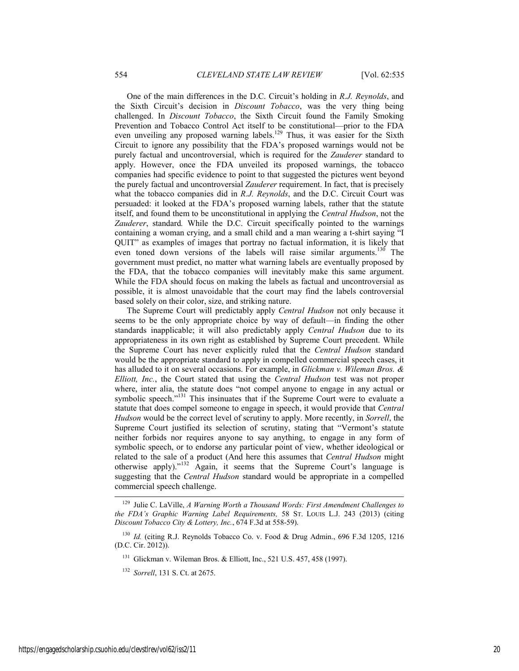One of the main differences in the D.C. Circuit's holding in *R.J. Reynolds*, and the Sixth Circuit's decision in *Discount Tobacco*, was the very thing being challenged. In *Discount Tobacco*, the Sixth Circuit found the Family Smoking Prevention and Tobacco Control Act itself to be constitutional—prior to the FDA even unveiling any proposed warning labels.<sup>129</sup> Thus, it was easier for the Sixth Circuit to ignore any possibility that the FDA's proposed warnings would not be purely factual and uncontroversial, which is required for the *Zauderer* standard to apply. However, once the FDA unveiled its proposed warnings, the tobacco companies had specific evidence to point to that suggested the pictures went beyond the purely factual and uncontroversial *Zauderer* requirement. In fact, that is precisely what the tobacco companies did in *R.J. Reynolds*, and the D.C. Circuit Court was persuaded: it looked at the FDA's proposed warning labels, rather that the statute itself, and found them to be unconstitutional in applying the *Central Hudson*, not the *Zauderer*, standard*.* While the D.C. Circuit specifically pointed to the warnings containing a woman crying, and a small child and a man wearing a t-shirt saying "I QUIT" as examples of images that portray no factual information, it is likely that even toned down versions of the labels will raise similar arguments.<sup>130</sup> The government must predict, no matter what warning labels are eventually proposed by the FDA, that the tobacco companies will inevitably make this same argument. While the FDA should focus on making the labels as factual and uncontroversial as possible, it is almost unavoidable that the court may find the labels controversial based solely on their color, size, and striking nature.

The Supreme Court will predictably apply *Central Hudson* not only because it seems to be the only appropriate choice by way of default—in finding the other standards inapplicable; it will also predictably apply *Central Hudson* due to its appropriateness in its own right as established by Supreme Court precedent. While the Supreme Court has never explicitly ruled that the *Central Hudson* standard would be the appropriate standard to apply in compelled commercial speech cases, it has alluded to it on several occasions. For example, in *Glickman v. Wileman Bros. & Elliott, Inc.*, the Court stated that using the *Central Hudson* test was not proper where, inter alia, the statute does "not compel anyone to engage in any actual or symbolic speech."<sup>131</sup> This insinuates that if the Supreme Court were to evaluate a statute that does compel someone to engage in speech, it would provide that *Central Hudson* would be the correct level of scrutiny to apply. More recently, in *Sorrell*, the Supreme Court justified its selection of scrutiny, stating that "Vermont's statute neither forbids nor requires anyone to say anything, to engage in any form of symbolic speech, or to endorse any particular point of view, whether ideological or related to the sale of a product (And here this assumes that *Central Hudson* might otherwise apply)."132 Again, it seems that the Supreme Court's language is suggesting that the *Central Hudson* standard would be appropriate in a compelled commercial speech challenge.

 <sup>129</sup> Julie C. LaVille, *A Warning Worth a Thousand Words: First Amendment Challenges to the FDA's Graphic Warning Label Requirements,* 58 ST. LOUIS L.J. 243 (2013) (citing *Discount Tobacco City & Lottery, Inc.*, 674 F.3d at 558-59).

<sup>&</sup>lt;sup>130</sup> *Id.* (citing R.J. Reynolds Tobacco Co. v. Food & Drug Admin., 696 F.3d 1205, 1216 (D.C. Cir. 2012)).

<sup>&</sup>lt;sup>131</sup> Glickman v. Wileman Bros. & Elliott, Inc., 521 U.S. 457, 458 (1997).

<sup>132</sup> *Sorrell*, 131 S. Ct. at 2675.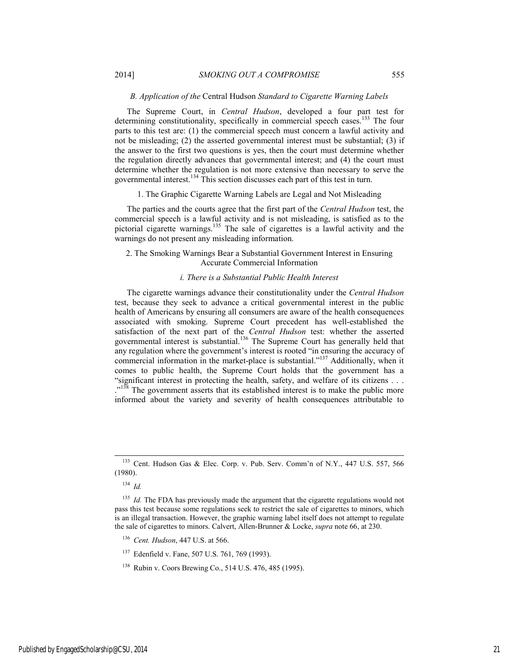# *B. Application of the* Central Hudson *Standard to Cigarette Warning Labels*

The Supreme Court, in *Central Hudson*, developed a four part test for determining constitutionality, specifically in commercial speech cases.<sup>133</sup> The four parts to this test are: (1) the commercial speech must concern a lawful activity and not be misleading; (2) the asserted governmental interest must be substantial; (3) if the answer to the first two questions is yes, then the court must determine whether the regulation directly advances that governmental interest; and (4) the court must determine whether the regulation is not more extensive than necessary to serve the governmental interest.134 This section discusses each part of this test in turn.

1. The Graphic Cigarette Warning Labels are Legal and Not Misleading

The parties and the courts agree that the first part of the *Central Hudson* test, the commercial speech is a lawful activity and is not misleading, is satisfied as to the pictorial cigarette warnings.<sup>135</sup> The sale of cigarettes is a lawful activity and the warnings do not present any misleading information.

# 2. The Smoking Warnings Bear a Substantial Government Interest in Ensuring Accurate Commercial Information

### *i. There is a Substantial Public Health Interest*

The cigarette warnings advance their constitutionality under the *Central Hudson*  test, because they seek to advance a critical governmental interest in the public health of Americans by ensuring all consumers are aware of the health consequences associated with smoking. Supreme Court precedent has well-established the satisfaction of the next part of the *Central Hudson* test: whether the asserted governmental interest is substantial.136 The Supreme Court has generally held that any regulation where the government's interest is rooted "in ensuring the accuracy of commercial information in the market-place is substantial."137 Additionally, when it comes to public health, the Supreme Court holds that the government has a "significant interest in protecting the health, safety, and welfare of its citizens . . . <sup>138</sup> The government asserts that its established interest is to make the public more informed about the variety and severity of health consequences attributable to

<sup>134</sup> *Id.*

137 Edenfield v. Fane, 507 U.S. 761, 769 (1993).

 <sup>133</sup> Cent. Hudson Gas & Elec. Corp. v. Pub. Serv. Comm'n of N.Y., 447 U.S. 557, 566 (1980).

<sup>&</sup>lt;sup>135</sup> *Id.* The FDA has previously made the argument that the cigarette regulations would not pass this test because some regulations seek to restrict the sale of cigarettes to minors, which is an illegal transaction. However, the graphic warning label itself does not attempt to regulate the sale of cigarettes to minors. Calvert, Allen-Brunner & Locke, *supra* note 66, at 230.

<sup>136</sup> *Cent. Hudson*, 447 U.S. at 566.

<sup>138</sup> Rubin v. Coors Brewing Co., 514 U.S. 476, 485 (1995).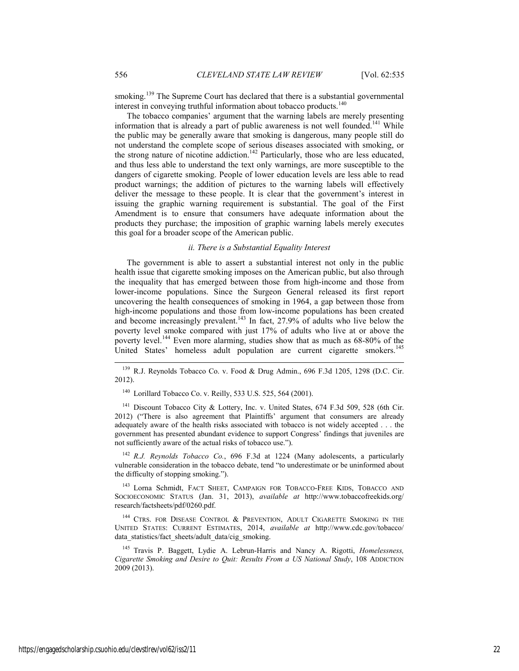smoking.<sup>139</sup> The Supreme Court has declared that there is a substantial governmental interest in conveying truthful information about tobacco products.<sup>140</sup>

The tobacco companies' argument that the warning labels are merely presenting information that is already a part of public awareness is not well founded.<sup>141</sup> While the public may be generally aware that smoking is dangerous, many people still do not understand the complete scope of serious diseases associated with smoking, or the strong nature of nicotine addiction.<sup>142</sup> Particularly, those who are less educated, and thus less able to understand the text only warnings, are more susceptible to the dangers of cigarette smoking. People of lower education levels are less able to read product warnings; the addition of pictures to the warning labels will effectively deliver the message to these people. It is clear that the government's interest in issuing the graphic warning requirement is substantial. The goal of the First Amendment is to ensure that consumers have adequate information about the products they purchase; the imposition of graphic warning labels merely executes this goal for a broader scope of the American public.

#### *ii. There is a Substantial Equality Interest*

The government is able to assert a substantial interest not only in the public health issue that cigarette smoking imposes on the American public, but also through the inequality that has emerged between those from high-income and those from lower-income populations. Since the Surgeon General released its first report uncovering the health consequences of smoking in 1964, a gap between those from high-income populations and those from low-income populations has been created and become increasingly prevalent.<sup>143</sup> In fact, 27.9% of adults who live below the poverty level smoke compared with just 17% of adults who live at or above the poverty level.144 Even more alarming, studies show that as much as 68-80% of the United States' homeless adult population are current cigarette smokers.<sup>145</sup>

 $139$  R.J. Reynolds Tobacco Co. v. Food & Drug Admin., 696 F.3d 1205, 1298 (D.C. Cir. 2012).

140 Lorillard Tobacco Co. v. Reilly, 533 U.S. 525, 564 (2001).

<sup>141</sup> Discount Tobacco City & Lottery, Inc. v. United States, 674 F.3d 509, 528 (6th Cir. 2012) ("There is also agreement that Plaintiffs' argument that consumers are already adequately aware of the health risks associated with tobacco is not widely accepted . . . the government has presented abundant evidence to support Congress' findings that juveniles are not sufficiently aware of the actual risks of tobacco use.").

<sup>142</sup> *R.J. Reynolds Tobacco Co.*, 696 F.3d at 1224 (Many adolescents, a particularly vulnerable consideration in the tobacco debate, tend "to underestimate or be uninformed about the difficulty of stopping smoking.").

143 Lorna Schmidt, FACT SHEET, CAMPAIGN FOR TOBACCO-FREE KIDS, TOBACCO AND SOCIOECONOMIC STATUS (Jan. 31, 2013), *available at* http://www.tobaccofreekids.org/ research/factsheets/pdf/0260.pdf.

<sup>144</sup> CTRS. FOR DISEASE CONTROL & PREVENTION, ADULT CIGARETTE SMOKING IN THE UNITED STATES: CURRENT ESTIMATES, 2014, *available at* http://www.cdc.gov/tobacco/ data\_statistics/fact\_sheets/adult\_data/cig\_smoking.

145 Travis P. Baggett, Lydie A. Lebrun-Harris and Nancy A. Rigotti, *Homelessness, Cigarette Smoking and Desire to Quit: Results From a US National Study*, 108 ADDICTION 2009 (2013).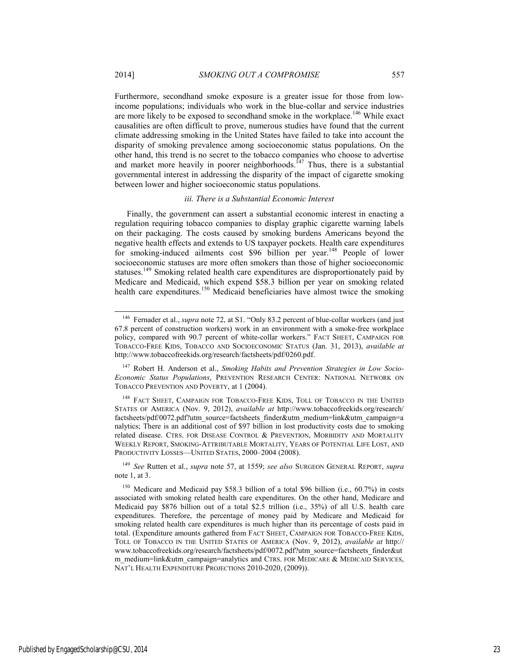Furthermore, secondhand smoke exposure is a greater issue for those from lowincome populations; individuals who work in the blue-collar and service industries are more likely to be exposed to secondhand smoke in the workplace.<sup>146</sup> While exact causalities are often difficult to prove, numerous studies have found that the current climate addressing smoking in the United States have failed to take into account the disparity of smoking prevalence among socioeconomic status populations. On the other hand, this trend is no secret to the tobacco companies who choose to advertise and market more heavily in poorer neighborhoods.<sup> $147$ </sup> Thus, there is a substantial governmental interest in addressing the disparity of the impact of cigarette smoking between lower and higher socioeconomic status populations.

## *iii. There is a Substantial Economic Interest*

Finally, the government can assert a substantial economic interest in enacting a regulation requiring tobacco companies to display graphic cigarette warning labels on their packaging. The costs caused by smoking burdens Americans beyond the negative health effects and extends to US taxpayer pockets. Health care expenditures for smoking-induced ailments cost \$96 billion per year.<sup>148</sup> People of lower socioeconomic statuses are more often smokers than those of higher socioeconomic statuses.<sup>149</sup> Smoking related health care expenditures are disproportionately paid by Medicare and Medicaid, which expend \$58.3 billion per year on smoking related health care expenditures.<sup>150</sup> Medicaid beneficiaries have almost twice the smoking

<sup>&</sup>lt;sup>146</sup> Fernader et al., *supra* note 72, at S1. "Only 83.2 percent of blue-collar workers (and just 67.8 percent of construction workers) work in an environment with a smoke-free workplace policy, compared with 90.7 percent of white-collar workers." FACT SHEET, CAMPAIGN FOR TOBACCO-FREE KIDS, TOBACCO AND SOCIOECONOMIC STATUS (Jan. 31, 2013), *available at* http://www.tobaccofreekids.org/research/factsheets/pdf/0260.pdf.

<sup>147</sup> Robert H. Anderson et al., *Smoking Habits and Prevention Strategies in Low Socio-Economic Status Populations*, PREVENTION RESEARCH CENTER: NATIONAL NETWORK ON TOBACCO PREVENTION AND POVERTY, at 1 (2004).

<sup>&</sup>lt;sup>148</sup> FACT SHEET, CAMPAIGN FOR TOBACCO-FREE KIDS, TOLL OF TOBACCO IN THE UNITED STATES OF AMERICA (Nov. 9, 2012), *available at* http://www.tobaccofreekids.org/research/ factsheets/pdf/0072.pdf?utm\_source=factsheets\_finder&utm\_medium=link&utm\_campaign=a nalytics; There is an additional cost of \$97 billion in lost productivity costs due to smoking related disease. CTRS. FOR DISEASE CONTROL & PREVENTION, MORBIDITY AND MORTALITY WEEKLY REPORT, SMOKING-ATTRIBUTABLE MORTALITY, YEARS OF POTENTIAL LIFE LOST, AND PRODUCTIVITY LOSSES—UNITED STATES, 2000–2004 (2008).

<sup>149</sup> *See* Rutten et al., *supra* note 57, at 1559; *see also* SURGEON GENERAL REPORT, *supra*  note 1, at 3.

<sup>&</sup>lt;sup>150</sup> Medicare and Medicaid pay \$58.3 billion of a total \$96 billion (i.e., 60.7%) in costs associated with smoking related health care expenditures. On the other hand, Medicare and Medicaid pay \$876 billion out of a total \$2.5 trillion (i.e., 35%) of all U.S. health care expenditures. Therefore, the percentage of money paid by Medicare and Medicaid for smoking related health care expenditures is much higher than its percentage of costs paid in total. (Expenditure amounts gathered from FACT SHEET, CAMPAIGN FOR TOBACCO-FREE KIDS, TOLL OF TOBACCO IN THE UNITED STATES OF AMERICA (Nov. 9, 2012), *available at* http:// www.tobaccofreekids.org/research/factsheets/pdf/0072.pdf?utm\_source=factsheets\_finder&ut m\_medium=link&utm\_campaign=analytics and CTRS. FOR MEDICARE & MEDICAID SERVICES, NAT'L HEALTH EXPENDITURE PROJECTIONS 2010-2020, (2009)).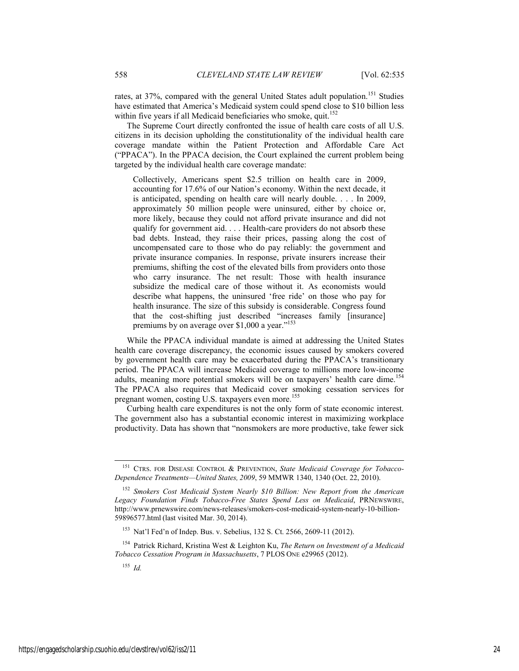rates, at 37%, compared with the general United States adult population.<sup>151</sup> Studies have estimated that America's Medicaid system could spend close to \$10 billion less within five years if all Medicaid beneficiaries who smoke, quit.<sup>152</sup>

The Supreme Court directly confronted the issue of health care costs of all U.S. citizens in its decision upholding the constitutionality of the individual health care coverage mandate within the Patient Protection and Affordable Care Act ("PPACA"). In the PPACA decision, the Court explained the current problem being targeted by the individual health care coverage mandate:

Collectively, Americans spent \$2.5 trillion on health care in 2009, accounting for 17.6% of our Nation's economy. Within the next decade, it is anticipated, spending on health care will nearly double. . . . In 2009, approximately 50 million people were uninsured, either by choice or, more likely, because they could not afford private insurance and did not qualify for government aid. . . . Health-care providers do not absorb these bad debts. Instead, they raise their prices, passing along the cost of uncompensated care to those who do pay reliably: the government and private insurance companies. In response, private insurers increase their premiums, shifting the cost of the elevated bills from providers onto those who carry insurance. The net result: Those with health insurance subsidize the medical care of those without it. As economists would describe what happens, the uninsured 'free ride' on those who pay for health insurance. The size of this subsidy is considerable. Congress found that the cost-shifting just described "increases family [insurance] premiums by on average over \$1,000 a year." $153$ 

While the PPACA individual mandate is aimed at addressing the United States health care coverage discrepancy, the economic issues caused by smokers covered by government health care may be exacerbated during the PPACA's transitionary period. The PPACA will increase Medicaid coverage to millions more low-income adults, meaning more potential smokers will be on taxpayers' health care dime.<sup>154</sup> The PPACA also requires that Medicaid cover smoking cessation services for pregnant women, costing U.S. taxpayers even more.<sup>155</sup>

Curbing health care expenditures is not the only form of state economic interest. The government also has a substantial economic interest in maximizing workplace productivity. Data has shown that "nonsmokers are more productive, take fewer sick

153 Nat'l Fed'n of Indep. Bus. v. Sebelius, 132 S. Ct. 2566, 2609-11 (2012).

154 Patrick Richard, Kristina West & Leighton Ku, *The Return on Investment of a Medicaid Tobacco Cessation Program in Massachusetts*, 7 PLOS ONE e29965 (2012).

<sup>155</sup> *Id.*

 <sup>151</sup> CTRS. FOR DISEASE CONTROL & PREVENTION, *State Medicaid Coverage for Tobacco-Dependence Treatments—United States, 2009*, 59 MMWR 1340, 1340 (Oct. 22, 2010).

<sup>152</sup> *Smokers Cost Medicaid System Nearly \$10 Billion: New Report from the American Legacy Foundation Finds Tobacco-Free States Spend Less on Medicaid*, PRNEWSWIRE, http://www.prnewswire.com/news-releases/smokers-cost-medicaid-system-nearly-10-billion-59896577.html (last visited Mar. 30, 2014).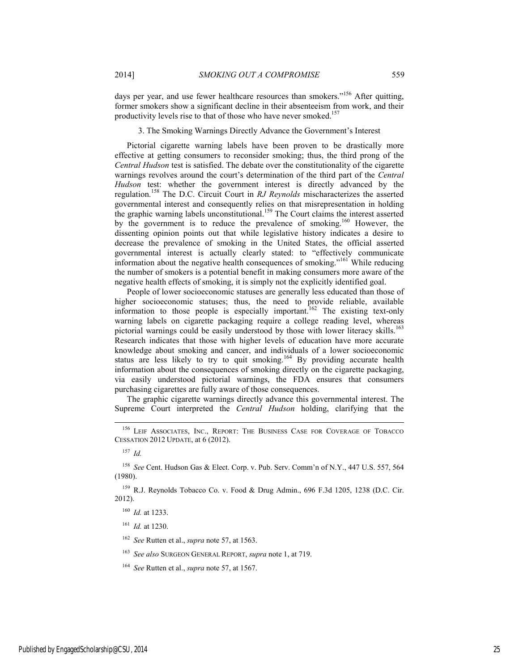days per year, and use fewer healthcare resources than smokers."<sup>156</sup> After quitting, former smokers show a significant decline in their absenteeism from work, and their productivity levels rise to that of those who have never smoked.<sup>157</sup>

3. The Smoking Warnings Directly Advance the Government's Interest

Pictorial cigarette warning labels have been proven to be drastically more effective at getting consumers to reconsider smoking; thus, the third prong of the *Central Hudson* test is satisfied. The debate over the constitutionality of the cigarette warnings revolves around the court's determination of the third part of the *Central Hudson* test: whether the government interest is directly advanced by the regulation.158 The D.C. Circuit Court in *RJ Reynolds* mischaracterizes the asserted governmental interest and consequently relies on that misrepresentation in holding the graphic warning labels unconstitutional.<sup>159</sup> The Court claims the interest asserted by the government is to reduce the prevalence of smoking.<sup>160</sup> However, the dissenting opinion points out that while legislative history indicates a desire to decrease the prevalence of smoking in the United States, the official asserted governmental interest is actually clearly stated: to "effectively communicate information about the negative health consequences of smoking."161 While reducing the number of smokers is a potential benefit in making consumers more aware of the negative health effects of smoking, it is simply not the explicitly identified goal.

People of lower socioeconomic statuses are generally less educated than those of higher socioeconomic statuses; thus, the need to provide reliable, available information to those people is especially important.<sup>162</sup> The existing text-only warning labels on cigarette packaging require a college reading level, whereas pictorial warnings could be easily understood by those with lower literacy skills.<sup>163</sup> Research indicates that those with higher levels of education have more accurate knowledge about smoking and cancer, and individuals of a lower socioeconomic status are less likely to try to quit smoking.<sup>164</sup> By providing accurate health information about the consequences of smoking directly on the cigarette packaging, via easily understood pictorial warnings, the FDA ensures that consumers purchasing cigarettes are fully aware of those consequences.

The graphic cigarette warnings directly advance this governmental interest. The Supreme Court interpreted the *Central Hudson* holding, clarifying that the

<sup>&</sup>lt;sup>156</sup> LEIF ASSOCIATES, INC., REPORT: THE BUSINESS CASE FOR COVERAGE OF TOBACCO CESSATION 2012 UPDATE, at 6 (2012).

<sup>157</sup> *Id.*

<sup>158</sup> *See* Cent. Hudson Gas & Elect. Corp. v. Pub. Serv. Comm'n of N.Y., 447 U.S. 557, 564 (1980).

<sup>159</sup> R.J. Reynolds Tobacco Co. v. Food & Drug Admin., 696 F.3d 1205, 1238 (D.C. Cir. 2012).

<sup>160</sup> *Id.* at 1233.

<sup>161</sup> *Id.* at 1230.

<sup>162</sup> *See* Rutten et al., *supra* note 57, at 1563.

<sup>163</sup> *See also* SURGEON GENERAL REPORT, *supra* note 1, at 719.

<sup>164</sup> *See* Rutten et al., *supra* note 57, at 1567.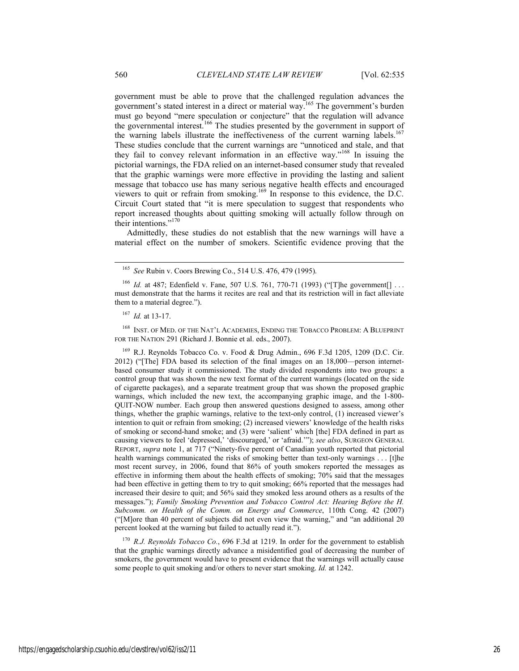government must be able to prove that the challenged regulation advances the government's stated interest in a direct or material way.<sup>165</sup> The government's burden must go beyond "mere speculation or conjecture" that the regulation will advance the governmental interest.<sup>166</sup> The studies presented by the government in support of the warning labels illustrate the ineffectiveness of the current warning labels.<sup>167</sup> These studies conclude that the current warnings are "unnoticed and stale, and that they fail to convey relevant information in an effective way."168 In issuing the pictorial warnings, the FDA relied on an internet-based consumer study that revealed that the graphic warnings were more effective in providing the lasting and salient message that tobacco use has many serious negative health effects and encouraged viewers to quit or refrain from smoking.169 In response to this evidence, the D.C. Circuit Court stated that "it is mere speculation to suggest that respondents who report increased thoughts about quitting smoking will actually follow through on their intentions."<sup>170</sup>

Admittedly, these studies do not establish that the new warnings will have a material effect on the number of smokers. Scientific evidence proving that the

168 INST. OF MED. OF THE NAT'L ACADEMIES, ENDING THE TOBACCO PROBLEM: A BLUEPRINT FOR THE NATION 291 (Richard J. Bonnie et al. eds., 2007).

<sup>169</sup> R.J. Reynolds Tobacco Co. v. Food & Drug Admin., 696 F.3d 1205, 1209 (D.C. Cir. 2012) ("[The] FDA based its selection of the final images on an 18,000—person internetbased consumer study it commissioned. The study divided respondents into two groups: a control group that was shown the new text format of the current warnings (located on the side of cigarette packages), and a separate treatment group that was shown the proposed graphic warnings, which included the new text, the accompanying graphic image, and the 1-800- QUIT-NOW number. Each group then answered questions designed to assess, among other things, whether the graphic warnings, relative to the text-only control, (1) increased viewer's intention to quit or refrain from smoking; (2) increased viewers' knowledge of the health risks of smoking or second-hand smoke; and (3) were 'salient' which [the] FDA defined in part as causing viewers to feel 'depressed,' 'discouraged,' or 'afraid.'"); *see also*, SURGEON GENERAL REPORT, *supra* note 1, at 717 ("Ninety-five percent of Canadian youth reported that pictorial health warnings communicated the risks of smoking better than text-only warnings . . . [t]he most recent survey, in 2006, found that 86% of youth smokers reported the messages as effective in informing them about the health effects of smoking; 70% said that the messages had been effective in getting them to try to quit smoking; 66% reported that the messages had increased their desire to quit; and 56% said they smoked less around others as a results of the messages."); *Family Smoking Prevention and Tobacco Control Act: Hearing Before the H. Subcomm. on Health of the Comm. on Energy and Commerce*, 110th Cong. 42 (2007) ("[M]ore than 40 percent of subjects did not even view the warning," and "an additional 20 percent looked at the warning but failed to actually read it.").

<sup>170</sup> *R.J. Reynolds Tobacco Co.*, 696 F.3d at 1219. In order for the government to establish that the graphic warnings directly advance a misidentified goal of decreasing the number of smokers, the government would have to present evidence that the warnings will actually cause some people to quit smoking and/or others to never start smoking. *Id.* at 1242.

 <sup>165</sup> *See* Rubin v. Coors Brewing Co., 514 U.S. 476, 479 (1995).

<sup>&</sup>lt;sup>166</sup> *Id.* at 487; Edenfield v. Fane, 507 U.S. 761, 770-71 (1993) ("[T]he government[] ... must demonstrate that the harms it recites are real and that its restriction will in fact alleviate them to a material degree.").

<sup>167</sup> *Id.* at 13-17.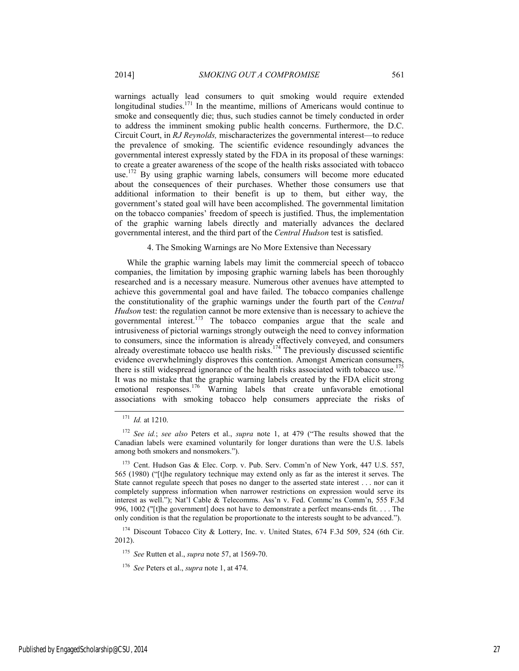warnings actually lead consumers to quit smoking would require extended longitudinal studies.<sup>171</sup> In the meantime, millions of Americans would continue to smoke and consequently die; thus, such studies cannot be timely conducted in order to address the imminent smoking public health concerns. Furthermore, the D.C. Circuit Court, in *RJ Reynolds,* mischaracterizes the governmental interest—to reduce the prevalence of smoking. The scientific evidence resoundingly advances the governmental interest expressly stated by the FDA in its proposal of these warnings: to create a greater awareness of the scope of the health risks associated with tobacco use.<sup>172</sup> By using graphic warning labels, consumers will become more educated about the consequences of their purchases. Whether those consumers use that additional information to their benefit is up to them, but either way, the government's stated goal will have been accomplished. The governmental limitation on the tobacco companies' freedom of speech is justified. Thus, the implementation of the graphic warning labels directly and materially advances the declared governmental interest, and the third part of the *Central Hudson* test is satisfied.

4. The Smoking Warnings are No More Extensive than Necessary

While the graphic warning labels may limit the commercial speech of tobacco companies, the limitation by imposing graphic warning labels has been thoroughly researched and is a necessary measure. Numerous other avenues have attempted to achieve this governmental goal and have failed. The tobacco companies challenge the constitutionality of the graphic warnings under the fourth part of the *Central Hudson* test: the regulation cannot be more extensive than is necessary to achieve the governmental interest.<sup>173</sup> The tobacco companies argue that the scale and intrusiveness of pictorial warnings strongly outweigh the need to convey information to consumers, since the information is already effectively conveyed, and consumers already overestimate tobacco use health risks.<sup>174</sup> The previously discussed scientific evidence overwhelmingly disproves this contention. Amongst American consumers, there is still widespread ignorance of the health risks associated with tobacco use.<sup>175</sup> It was no mistake that the graphic warning labels created by the FDA elicit strong emotional responses.<sup>176</sup> Warning labels that create unfavorable emotional associations with smoking tobacco help consumers appreciate the risks of

<sup>174</sup> Discount Tobacco City & Lottery, Inc. v. United States, 674 F.3d 509, 524 (6th Cir. 2012).

<sup>175</sup> *See* Rutten et al., *supra* note 57, at 1569-70.

 <sup>171</sup> *Id.* at 1210.

<sup>172</sup> *See id.*; *see also* Peters et al., *supra* note 1, at 479 ("The results showed that the Canadian labels were examined voluntarily for longer durations than were the U.S. labels among both smokers and nonsmokers.").

<sup>173</sup> Cent. Hudson Gas & Elec. Corp. v. Pub. Serv. Comm'n of New York, 447 U.S. 557, 565 (1980) ("[t]he regulatory technique may extend only as far as the interest it serves. The State cannot regulate speech that poses no danger to the asserted state interest . . . nor can it completely suppress information when narrower restrictions on expression would serve its interest as well."); Nat'l Cable & Telecomms. Ass'n v. Fed. Commc'ns Comm'n, 555 F.3d 996, 1002 ("[t]he government] does not have to demonstrate a perfect means-ends fit. . . . The only condition is that the regulation be proportionate to the interests sought to be advanced.").

<sup>176</sup> *See* Peters et al., *supra* note 1, at 474.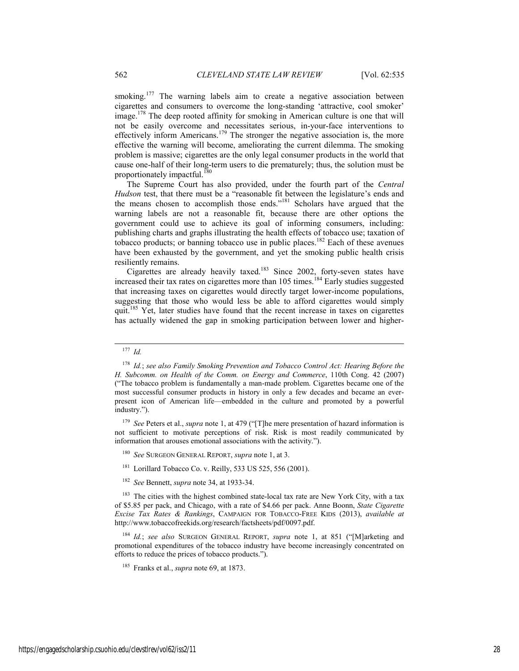smoking.<sup>177</sup> The warning labels aim to create a negative association between cigarettes and consumers to overcome the long-standing 'attractive, cool smoker' image.178 The deep rooted affinity for smoking in American culture is one that will not be easily overcome and necessitates serious, in-your-face interventions to effectively inform Americans.<sup>179</sup> The stronger the negative association is, the more effective the warning will become, ameliorating the current dilemma. The smoking problem is massive; cigarettes are the only legal consumer products in the world that cause one-half of their long-term users to die prematurely; thus, the solution must be proportionately impactful.<sup>180</sup>

The Supreme Court has also provided, under the fourth part of the *Central Hudson* test, that there must be a "reasonable fit between the legislature's ends and the means chosen to accomplish those ends."181 Scholars have argued that the warning labels are not a reasonable fit, because there are other options the government could use to achieve its goal of informing consumers, including: publishing charts and graphs illustrating the health effects of tobacco use; taxation of tobacco products; or banning tobacco use in public places.<sup>182</sup> Each of these avenues have been exhausted by the government, and yet the smoking public health crisis resiliently remains.

Cigarettes are already heavily taxed.183 Since 2002, forty-seven states have increased their tax rates on cigarettes more than 105 times.<sup>184</sup> Early studies suggested that increasing taxes on cigarettes would directly target lower-income populations, suggesting that those who would less be able to afford cigarettes would simply quit.<sup>185</sup> Yet, later studies have found that the recent increase in taxes on cigarettes has actually widened the gap in smoking participation between lower and higher-

<sup>179</sup> *See* Peters et al., *supra* note 1, at 479 ("[T]he mere presentation of hazard information is not sufficient to motivate perceptions of risk. Risk is most readily communicated by information that arouses emotional associations with the activity.").

- <sup>180</sup> *See* SURGEON GENERAL REPORT, *supra* note 1, at 3.
- $181$  Lorillard Tobacco Co. v. Reilly, 533 US 525, 556 (2001).
- <sup>182</sup> *See* Bennett, *supra* note 34, at 1933-34.

 $183$  The cities with the highest combined state-local tax rate are New York City, with a tax of \$5.85 per pack, and Chicago, with a rate of \$4.66 per pack. Anne Boonn, *State Cigarette Excise Tax Rates & Rankings*, CAMPAIGN FOR TOBACCO-FREE KIDS (2013), *available at* http://www.tobaccofreekids.org/research/factsheets/pdf/0097.pdf.

<sup>184</sup> *Id.*; *see also* SURGEON GENERAL REPORT, *supra* note 1, at 851 ("[M]arketing and promotional expenditures of the tobacco industry have become increasingly concentrated on efforts to reduce the prices of tobacco products.").

 <sup>177</sup> *Id.*

<sup>178</sup> *Id.*; *see also Family Smoking Prevention and Tobacco Control Act: Hearing Before the H. Subcomm. on Health of the Comm. on Energy and Commerce*, 110th Cong. 42 (2007) ("The tobacco problem is fundamentally a man-made problem. Cigarettes became one of the most successful consumer products in history in only a few decades and became an everpresent icon of American life—embedded in the culture and promoted by a powerful industry.").

<sup>185</sup> Franks et al., *supra* note 69, at 1873.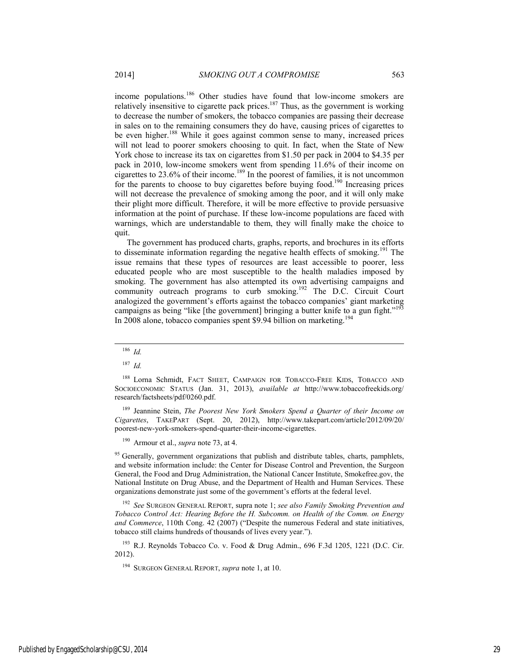income populations.<sup>186</sup> Other studies have found that low-income smokers are relatively insensitive to cigarette pack prices.<sup>187</sup> Thus, as the government is working to decrease the number of smokers, the tobacco companies are passing their decrease in sales on to the remaining consumers they do have, causing prices of cigarettes to be even higher.<sup>188</sup> While it goes against common sense to many, increased prices will not lead to poorer smokers choosing to quit. In fact, when the State of New York chose to increase its tax on cigarettes from \$1.50 per pack in 2004 to \$4.35 per pack in 2010, low-income smokers went from spending 11.6% of their income on cigarettes to 23.6% of their income.<sup>189</sup> In the poorest of families, it is not uncommon for the parents to choose to buy cigarettes before buying food.<sup>190</sup> Increasing prices will not decrease the prevalence of smoking among the poor, and it will only make their plight more difficult. Therefore, it will be more effective to provide persuasive information at the point of purchase. If these low-income populations are faced with warnings, which are understandable to them, they will finally make the choice to quit.

The government has produced charts, graphs, reports, and brochures in its efforts to disseminate information regarding the negative health effects of smoking.<sup>191</sup> The issue remains that these types of resources are least accessible to poorer, less educated people who are most susceptible to the health maladies imposed by smoking. The government has also attempted its own advertising campaigns and community outreach programs to curb smoking.<sup>192</sup> The D.C. Circuit Court analogized the government's efforts against the tobacco companies' giant marketing campaigns as being "like [the government] bringing a butter knife to a gun fight."<sup>193</sup> In 2008 alone, tobacco companies spent \$9.94 billion on marketing.<sup>194</sup>

189 Jeannine Stein, *The Poorest New York Smokers Spend a Quarter of their Income on Cigarettes*, TAKEPART (Sept. 20, 2012), http://www.takepart.com/article/2012/09/20/ poorest-new-york-smokers-spend-quarter-their-income-cigarettes.

190 Armour et al., *supra* note 73, at 4.

 $95$  Generally, government organizations that publish and distribute tables, charts, pamphlets, and website information include: the Center for Disease Control and Prevention, the Surgeon General, the Food and Drug Administration, the National Cancer Institute, Smokefree.gov, the National Institute on Drug Abuse, and the Department of Health and Human Services. These organizations demonstrate just some of the government's efforts at the federal level.

<sup>192</sup> *See* SURGEON GENERAL REPORT, supra note 1; *see also Family Smoking Prevention and Tobacco Control Act: Hearing Before the H. Subcomm. on Health of the Comm. on Energy and Commerce*, 110th Cong. 42 (2007) ("Despite the numerous Federal and state initiatives, tobacco still claims hundreds of thousands of lives every year.").

<sup>193</sup> R.J. Reynolds Tobacco Co. v. Food & Drug Admin., 696 F.3d 1205, 1221 (D.C. Cir. 2012).

194 SURGEON GENERAL REPORT, *supra* note 1, at 10.

 <sup>186</sup> *Id.*

<sup>187</sup> *Id.*

Lorna Schmidt, FACT SHEET, CAMPAIGN FOR TOBACCO-FREE KIDS, TOBACCO AND SOCIOECONOMIC STATUS (Jan. 31, 2013), *available at* http://www.tobaccofreekids.org/ research/factsheets/pdf/0260.pdf.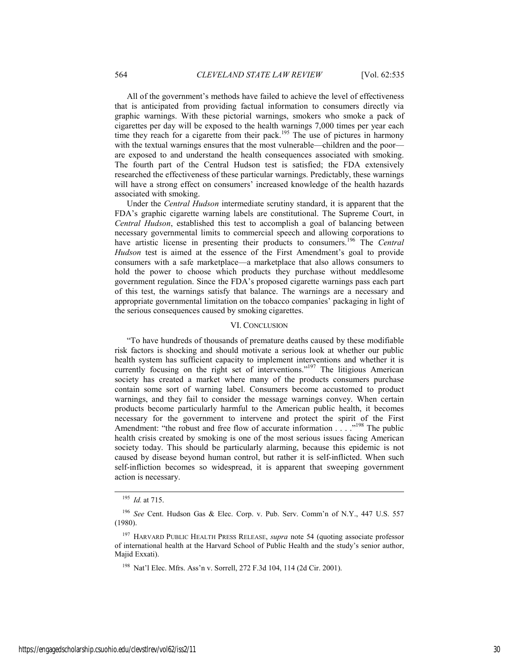All of the government's methods have failed to achieve the level of effectiveness that is anticipated from providing factual information to consumers directly via graphic warnings. With these pictorial warnings, smokers who smoke a pack of cigarettes per day will be exposed to the health warnings 7,000 times per year each time they reach for a cigarette from their pack.<sup>195</sup> The use of pictures in harmony with the textual warnings ensures that the most vulnerable—children and the poor are exposed to and understand the health consequences associated with smoking. The fourth part of the Central Hudson test is satisfied; the FDA extensively researched the effectiveness of these particular warnings. Predictably, these warnings will have a strong effect on consumers' increased knowledge of the health hazards associated with smoking.

Under the *Central Hudson* intermediate scrutiny standard, it is apparent that the FDA's graphic cigarette warning labels are constitutional. The Supreme Court, in *Central Hudson*, established this test to accomplish a goal of balancing between necessary governmental limits to commercial speech and allowing corporations to have artistic license in presenting their products to consumers.<sup>196</sup> The *Central Hudson* test is aimed at the essence of the First Amendment's goal to provide consumers with a safe marketplace—a marketplace that also allows consumers to hold the power to choose which products they purchase without meddlesome government regulation. Since the FDA's proposed cigarette warnings pass each part of this test, the warnings satisfy that balance. The warnings are a necessary and appropriate governmental limitation on the tobacco companies' packaging in light of the serious consequences caused by smoking cigarettes.

#### VI. CONCLUSION

"To have hundreds of thousands of premature deaths caused by these modifiable risk factors is shocking and should motivate a serious look at whether our public health system has sufficient capacity to implement interventions and whether it is currently focusing on the right set of interventions."<sup>197</sup> The litigious American society has created a market where many of the products consumers purchase contain some sort of warning label. Consumers become accustomed to product warnings, and they fail to consider the message warnings convey. When certain products become particularly harmful to the American public health, it becomes necessary for the government to intervene and protect the spirit of the First Amendment: "the robust and free flow of accurate information . . . . .<sup>198</sup> The public health crisis created by smoking is one of the most serious issues facing American society today. This should be particularly alarming, because this epidemic is not caused by disease beyond human control, but rather it is self-inflicted. When such self-infliction becomes so widespread, it is apparent that sweeping government action is necessary.

 <sup>195</sup> *Id.* at 715.

<sup>196</sup> *See* Cent. Hudson Gas & Elec. Corp. v. Pub. Serv. Comm'n of N.Y., 447 U.S. 557 (1980).

<sup>197</sup> HARVARD PUBLIC HEALTH PRESS RELEASE, *supra* note 54 (quoting associate professor of international health at the Harvard School of Public Health and the study's senior author, Majid Exxati).

<sup>198</sup> Nat'l Elec. Mfrs. Ass'n v. Sorrell, 272 F.3d 104, 114 (2d Cir. 2001).